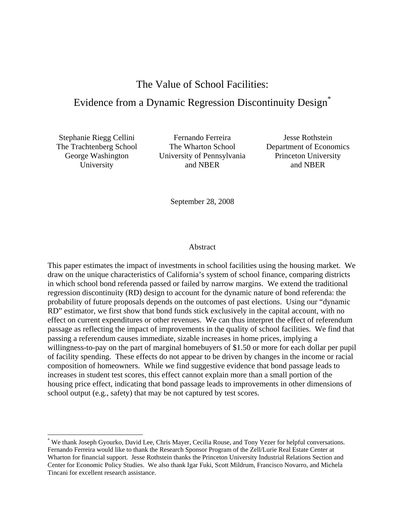The Value of School Facilities:

# Evidence from a Dynamic Regression Discontinuity Design\*

Stephanie Riegg Cellini Fernando Ferreira Jesse Rothstein

1

The Trachtenberg School The Wharton School Department of Economics George Washington University of Pennsylvania Princeton University University and NBER and NBER and NBER

September 28, 2008

## Abstract

This paper estimates the impact of investments in school facilities using the housing market. We draw on the unique characteristics of California's system of school finance, comparing districts in which school bond referenda passed or failed by narrow margins. We extend the traditional regression discontinuity (RD) design to account for the dynamic nature of bond referenda: the probability of future proposals depends on the outcomes of past elections. Using our "dynamic RD" estimator, we first show that bond funds stick exclusively in the capital account, with no effect on current expenditures or other revenues. We can thus interpret the effect of referendum passage as reflecting the impact of improvements in the quality of school facilities. We find that passing a referendum causes immediate, sizable increases in home prices, implying a willingness-to-pay on the part of marginal homebuyers of \$1.50 or more for each dollar per pupil of facility spending. These effects do not appear to be driven by changes in the income or racial composition of homeowners. While we find suggestive evidence that bond passage leads to increases in student test scores, this effect cannot explain more than a small portion of the housing price effect, indicating that bond passage leads to improvements in other dimensions of school output (e.g., safety) that may be not captured by test scores.

<sup>\*</sup> We thank Joseph Gyourko, David Lee, Chris Mayer, Cecilia Rouse, and Tony Yezer for helpful conversations. Fernando Ferreira would like to thank the Research Sponsor Program of the Zell/Lurie Real Estate Center at Wharton for financial support. Jesse Rothstein thanks the Princeton University Industrial Relations Section and Center for Economic Policy Studies. We also thank Igar Fuki, Scott Mildrum, Francisco Novarro, and Michela Tincani for excellent research assistance.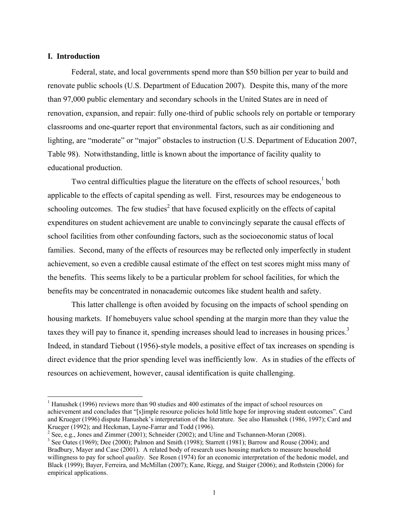## **I. Introduction**

1

Federal, state, and local governments spend more than \$50 billion per year to build and renovate public schools (U.S. Department of Education 2007). Despite this, many of the more than 97,000 public elementary and secondary schools in the United States are in need of renovation, expansion, and repair: fully one-third of public schools rely on portable or temporary classrooms and one-quarter report that environmental factors, such as air conditioning and lighting, are "moderate" or "major" obstacles to instruction (U.S. Department of Education 2007, Table 98). Notwithstanding, little is known about the importance of facility quality to educational production.

Two central difficulties plague the literature on the effects of school resources, $<sup>1</sup>$  both</sup> applicable to the effects of capital spending as well. First, resources may be endogeneous to schooling outcomes. The few studies<sup>2</sup> that have focused explicitly on the effects of capital expenditures on student achievement are unable to convincingly separate the causal effects of school facilities from other confounding factors, such as the socioeconomic status of local families. Second, many of the effects of resources may be reflected only imperfectly in student achievement, so even a credible causal estimate of the effect on test scores might miss many of the benefits. This seems likely to be a particular problem for school facilities, for which the benefits may be concentrated in nonacademic outcomes like student health and safety.

This latter challenge is often avoided by focusing on the impacts of school spending on housing markets. If homebuyers value school spending at the margin more than they value the taxes they will pay to finance it, spending increases should lead to increases in housing prices.<sup>3</sup> Indeed, in standard Tiebout (1956)-style models, a positive effect of tax increases on spending is direct evidence that the prior spending level was inefficiently low. As in studies of the effects of resources on achievement, however, causal identification is quite challenging.

<sup>&</sup>lt;sup>1</sup> Hanushek (1996) reviews more than 90 studies and 400 estimates of the impact of school resources on achievement and concludes that "[s]imple resource policies hold little hope for improving student outcomes". Card and Krueger (1996) dispute Hanushek's interpretation of the literature. See also Hanushek (1986, 1997); Card and Krueger (1992); and Heckman, Layne-Farrar and Todd (1996).

 $2^2$  See, e.g., Jones and Zimmer (2001); Schneider (2002); and Uline and Tschannen-Moran (2008).

 $3$  See Oates (1969); Dee (2000); Palmon and Smith (1998); Starrett (1981); Barrow and Rouse (2004); and Bradbury, Mayer and Case (2001). A related body of research uses housing markets to measure household willingness to pay for school *quality*. See Rosen (1974) for an economic interpretation of the hedonic model, and Black (1999); Bayer, Ferreira, and McMillan (2007); Kane, Riegg, and Staiger (2006); and Rothstein (2006) for empirical applications.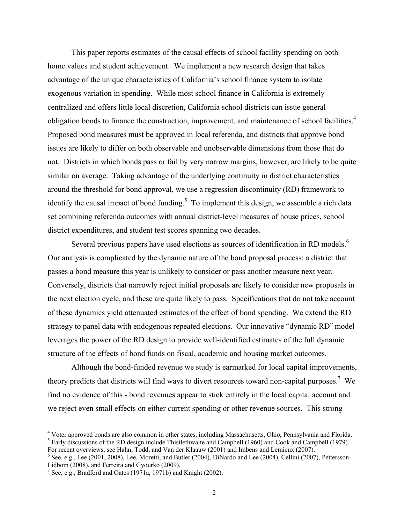This paper reports estimates of the causal effects of school facility spending on both home values and student achievement. We implement a new research design that takes advantage of the unique characteristics of California's school finance system to isolate exogenous variation in spending. While most school finance in California is extremely centralized and offers little local discretion, California school districts can issue general obligation bonds to finance the construction, improvement, and maintenance of school facilities.<sup>4</sup> Proposed bond measures must be approved in local referenda, and districts that approve bond issues are likely to differ on both observable and unobservable dimensions from those that do not. Districts in which bonds pass or fail by very narrow margins, however, are likely to be quite similar on average. Taking advantage of the underlying continuity in district characteristics around the threshold for bond approval, we use a regression discontinuity (RD) framework to identify the causal impact of bond funding.<sup>5</sup> To implement this design, we assemble a rich data set combining referenda outcomes with annual district-level measures of house prices, school district expenditures, and student test scores spanning two decades.

Several previous papers have used elections as sources of identification in RD models.<sup>6</sup> Our analysis is complicated by the dynamic nature of the bond proposal process: a district that passes a bond measure this year is unlikely to consider or pass another measure next year. Conversely, districts that narrowly reject initial proposals are likely to consider new proposals in the next election cycle, and these are quite likely to pass. Specifications that do not take account of these dynamics yield attenuated estimates of the effect of bond spending. We extend the RD strategy to panel data with endogenous repeated elections. Our innovative "dynamic RD" model leverages the power of the RD design to provide well-identified estimates of the full dynamic structure of the effects of bond funds on fiscal, academic and housing market outcomes.

Although the bond-funded revenue we study is earmarked for local capital improvements, theory predicts that districts will find ways to divert resources toward non-capital purposes.<sup>7</sup> We find no evidence of this - bond revenues appear to stick entirely in the local capital account and we reject even small effects on either current spending or other revenue sources. This strong

1

<sup>&</sup>lt;sup>4</sup> Voter approved bonds are also common in other states, including Massachusetts, Ohio, Pennsylvania and Florida. <sup>5</sup> Early discussions of the RD design include Thistlethwaite and Campbell (1960) and Cook and Campbell (1979).

For recent overviews, see Hahn, Todd, and Van der Klaauw (2001) and Imbens and Lemieux (2007).

<sup>&</sup>lt;sup>6</sup> See, e.g., Lee (2001, 2008), Lee, Moretti, and Butler (2004), DiNardo and Lee (2004), Cellini (2007), Pettersson-Lidbom (2008), and Ferreira and Gyourko (2009).

<sup>&</sup>lt;sup>7</sup> See, e.g., Bradford and Oates (1971a, 1971b) and Knight (2002).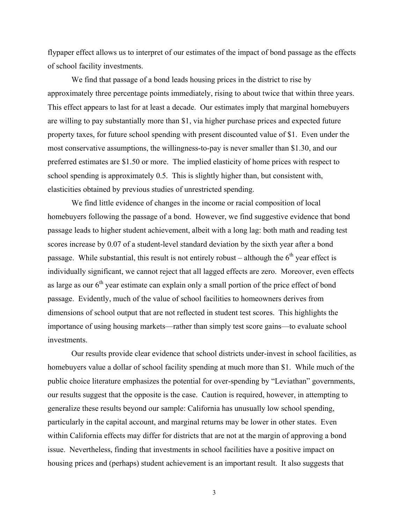flypaper effect allows us to interpret of our estimates of the impact of bond passage as the effects of school facility investments.

We find that passage of a bond leads housing prices in the district to rise by approximately three percentage points immediately, rising to about twice that within three years. This effect appears to last for at least a decade. Our estimates imply that marginal homebuyers are willing to pay substantially more than \$1, via higher purchase prices and expected future property taxes, for future school spending with present discounted value of \$1. Even under the most conservative assumptions, the willingness-to-pay is never smaller than \$1.30, and our preferred estimates are \$1.50 or more. The implied elasticity of home prices with respect to school spending is approximately 0.5. This is slightly higher than, but consistent with, elasticities obtained by previous studies of unrestricted spending.

We find little evidence of changes in the income or racial composition of local homebuyers following the passage of a bond. However, we find suggestive evidence that bond passage leads to higher student achievement, albeit with a long lag: both math and reading test scores increase by 0.07 of a student-level standard deviation by the sixth year after a bond passage. While substantial, this result is not entirely robust – although the  $6<sup>th</sup>$  year effect is individually significant, we cannot reject that all lagged effects are zero. Moreover, even effects as large as our  $6<sup>th</sup>$  year estimate can explain only a small portion of the price effect of bond passage. Evidently, much of the value of school facilities to homeowners derives from dimensions of school output that are not reflected in student test scores. This highlights the importance of using housing markets—rather than simply test score gains—to evaluate school investments.

Our results provide clear evidence that school districts under-invest in school facilities, as homebuyers value a dollar of school facility spending at much more than \$1. While much of the public choice literature emphasizes the potential for over-spending by "Leviathan" governments, our results suggest that the opposite is the case. Caution is required, however, in attempting to generalize these results beyond our sample: California has unusually low school spending, particularly in the capital account, and marginal returns may be lower in other states. Even within California effects may differ for districts that are not at the margin of approving a bond issue. Nevertheless, finding that investments in school facilities have a positive impact on housing prices and (perhaps) student achievement is an important result. It also suggests that

3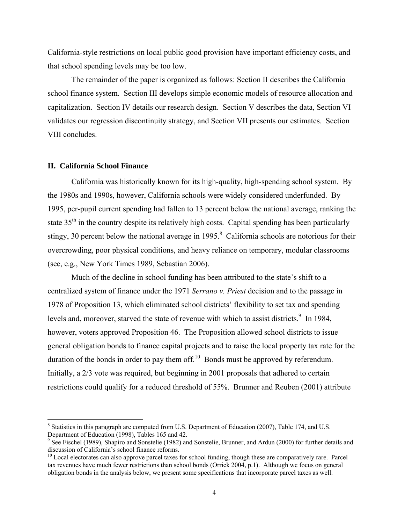California-style restrictions on local public good provision have important efficiency costs, and that school spending levels may be too low.

The remainder of the paper is organized as follows: Section II describes the California school finance system. Section III develops simple economic models of resource allocation and capitalization. Section IV details our research design. Section V describes the data, Section VI validates our regression discontinuity strategy, and Section VII presents our estimates. Section VIII concludes.

#### **II. California School Finance**

 $\overline{a}$ 

California was historically known for its high-quality, high-spending school system. By the 1980s and 1990s, however, California schools were widely considered underfunded. By 1995, per-pupil current spending had fallen to 13 percent below the national average, ranking the state  $35<sup>th</sup>$  in the country despite its relatively high costs. Capital spending has been particularly stingy, 30 percent below the national average in  $1995.8$  California schools are notorious for their overcrowding, poor physical conditions, and heavy reliance on temporary, modular classrooms (see, e.g., New York Times 1989, Sebastian 2006).

Much of the decline in school funding has been attributed to the state's shift to a centralized system of finance under the 1971 *Serrano v. Priest* decision and to the passage in 1978 of Proposition 13, which eliminated school districts' flexibility to set tax and spending levels and, moreover, starved the state of revenue with which to assist districts.<sup>9</sup> In 1984, however, voters approved Proposition 46. The Proposition allowed school districts to issue general obligation bonds to finance capital projects and to raise the local property tax rate for the duration of the bonds in order to pay them off.<sup>10</sup> Bonds must be approved by referendum. Initially, a 2/3 vote was required, but beginning in 2001 proposals that adhered to certain restrictions could qualify for a reduced threshold of 55%. Brunner and Reuben (2001) attribute

<sup>&</sup>lt;sup>8</sup> Statistics in this paragraph are computed from U.S. Department of Education (2007), Table 174, and U.S. Department of Education (1998), Tables 165 and 42.

<sup>&</sup>lt;sup>9</sup> See Fischel (1989), Shapiro and Sonstelie (1982) and Sonstelie, Brunner, and Ardun (2000) for further details and discussion of California's school finance reforms.

 $10$  Local electorates can also approve parcel taxes for school funding, though these are comparatively rare. Parcel tax revenues have much fewer restrictions than school bonds (Orrick 2004, p.1). Although we focus on general obligation bonds in the analysis below, we present some specifications that incorporate parcel taxes as well.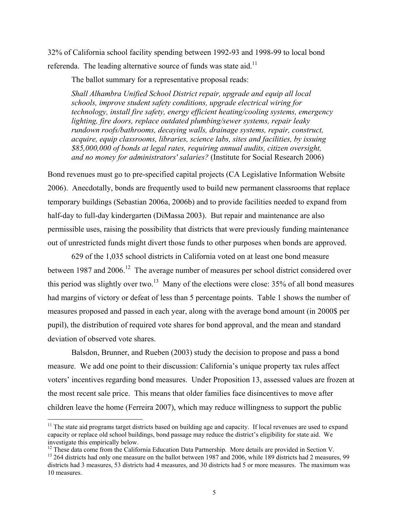32% of California school facility spending between 1992-93 and 1998-99 to local bond referenda. The leading alternative source of funds was state aid.<sup>11</sup>

The ballot summary for a representative proposal reads:

*Shall Alhambra Unified School District repair, upgrade and equip all local schools, improve student safety conditions, upgrade electrical wiring for technology, install fire safety, energy efficient heating/cooling systems, emergency lighting, fire doors, replace outdated plumbing/sewer systems, repair leaky rundown roofs/bathrooms, decaying walls, drainage systems, repair, construct, acquire, equip classrooms, libraries, science labs, sites and facilities, by issuing \$85,000,000 of bonds at legal rates, requiring annual audits, citizen oversight, and no money for administrators' salaries?* (Institute for Social Research 2006)

Bond revenues must go to pre-specified capital projects (CA Legislative Information Website 2006). Anecdotally, bonds are frequently used to build new permanent classrooms that replace temporary buildings (Sebastian 2006a, 2006b) and to provide facilities needed to expand from half-day to full-day kindergarten (DiMassa 2003). But repair and maintenance are also permissible uses, raising the possibility that districts that were previously funding maintenance out of unrestricted funds might divert those funds to other purposes when bonds are approved.

629 of the 1,035 school districts in California voted on at least one bond measure between 1987 and 2006.<sup>12</sup> The average number of measures per school district considered over this period was slightly over two.<sup>13</sup> Many of the elections were close:  $35\%$  of all bond measures had margins of victory or defeat of less than 5 percentage points. Table 1 shows the number of measures proposed and passed in each year, along with the average bond amount (in 2000\$ per pupil), the distribution of required vote shares for bond approval, and the mean and standard deviation of observed vote shares.

Balsdon, Brunner, and Rueben (2003) study the decision to propose and pass a bond measure. We add one point to their discussion: California's unique property tax rules affect voters' incentives regarding bond measures. Under Proposition 13, assessed values are frozen at the most recent sale price. This means that older families face disincentives to move after children leave the home (Ferreira 2007), which may reduce willingness to support the public

 $\overline{a}$ 

 $11$  The state aid programs target districts based on building age and capacity. If local revenues are used to expand capacity or replace old school buildings, bond passage may reduce the district's eligibility for state aid. We investigate this empirically below.<br><sup>12</sup> These data come from the California Education Data Partnership. More details are provided in Section V.

 $13$  264 districts had only one measure on the ballot between 1987 and 2006, while 189 districts had 2 measures, 99 districts had 3 measures, 53 districts had 4 measures, and 30 districts had 5 or more measures. The maximum was 10 measures.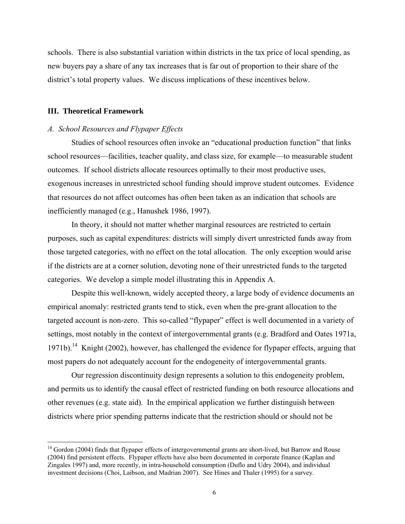schools. There is also substantial variation within districts in the tax price of local spending, as new buyers pay a share of any tax increases that is far out of proportion to their share of the district's total property values. We discuss implications of these incentives below.

## **III. Theoretical Framework**

 $\overline{a}$ 

## *A. School Resources and Flypaper Effects*

Studies of school resources often invoke an "educational production function" that links school resources—facilities, teacher quality, and class size, for example—to measurable student outcomes. If school districts allocate resources optimally to their most productive uses, exogenous increases in unrestricted school funding should improve student outcomes. Evidence that resources do not affect outcomes has often been taken as an indication that schools are inefficiently managed (e.g., Hanushek 1986, 1997).

In theory, it should not matter whether marginal resources are restricted to certain purposes, such as capital expenditures: districts will simply divert unrestricted funds away from those targeted categories, with no effect on the total allocation. The only exception would arise if the districts are at a corner solution, devoting none of their unrestricted funds to the targeted categories. We develop a simple model illustrating this in Appendix A.

Despite this well-known, widely accepted theory, a large body of evidence documents an empirical anomaly: restricted grants tend to stick, even when the pre-grant allocation to the targeted account is non-zero. This so-called "flypaper" effect is well documented in a variety of settings, most notably in the context of intergovernmental grants (e.g. Bradford and Oates 1971a, 1971b).<sup>14</sup> Knight (2002), however, has challenged the evidence for flypaper effects, arguing that most papers do not adequately account for the endogeneity of intergovernmental grants.

Our regression discontinuity design represents a solution to this endogeneity problem, and permits us to identify the causal effect of restricted funding on both resource allocations and other revenues (e.g. state aid). In the empirical application we further distinguish between districts where prior spending patterns indicate that the restriction should or should not be

<sup>&</sup>lt;sup>14</sup> Gordon (2004) finds that flypaper effects of intergovernmental grants are short-lived, but Barrow and Rouse (2004) find persistent effects. Flypaper effects have also been documented in corporate finance (Kaplan and Zingales 1997) and, more recently, in intra-household consumption (Duflo and Udry 2004), and individual investment decisions (Choi, Laibson, and Madrian 2007). See Hines and Thaler (1995) for a survey.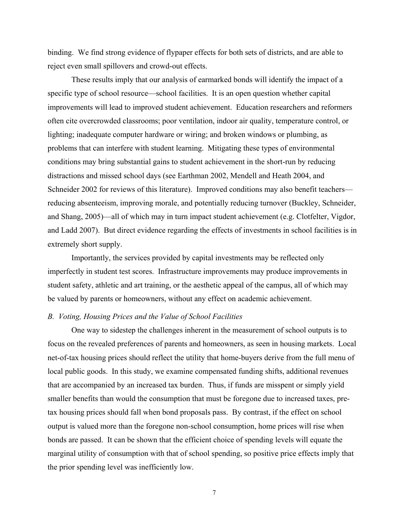binding. We find strong evidence of flypaper effects for both sets of districts, and are able to reject even small spillovers and crowd-out effects.

These results imply that our analysis of earmarked bonds will identify the impact of a specific type of school resource—school facilities. It is an open question whether capital improvements will lead to improved student achievement. Education researchers and reformers often cite overcrowded classrooms; poor ventilation, indoor air quality, temperature control, or lighting; inadequate computer hardware or wiring; and broken windows or plumbing, as problems that can interfere with student learning. Mitigating these types of environmental conditions may bring substantial gains to student achievement in the short-run by reducing distractions and missed school days (see Earthman 2002, Mendell and Heath 2004, and Schneider 2002 for reviews of this literature). Improved conditions may also benefit teachers reducing absenteeism, improving morale, and potentially reducing turnover (Buckley, Schneider, and Shang, 2005)—all of which may in turn impact student achievement (e.g. Clotfelter, Vigdor, and Ladd 2007). But direct evidence regarding the effects of investments in school facilities is in extremely short supply.

Importantly, the services provided by capital investments may be reflected only imperfectly in student test scores. Infrastructure improvements may produce improvements in student safety, athletic and art training, or the aesthetic appeal of the campus, all of which may be valued by parents or homeowners, without any effect on academic achievement.

## *B. Voting, Housing Prices and the Value of School Facilities*

One way to sidestep the challenges inherent in the measurement of school outputs is to focus on the revealed preferences of parents and homeowners, as seen in housing markets. Local net-of-tax housing prices should reflect the utility that home-buyers derive from the full menu of local public goods. In this study, we examine compensated funding shifts, additional revenues that are accompanied by an increased tax burden. Thus, if funds are misspent or simply yield smaller benefits than would the consumption that must be foregone due to increased taxes, pretax housing prices should fall when bond proposals pass. By contrast, if the effect on school output is valued more than the foregone non-school consumption, home prices will rise when bonds are passed. It can be shown that the efficient choice of spending levels will equate the marginal utility of consumption with that of school spending, so positive price effects imply that the prior spending level was inefficiently low.

7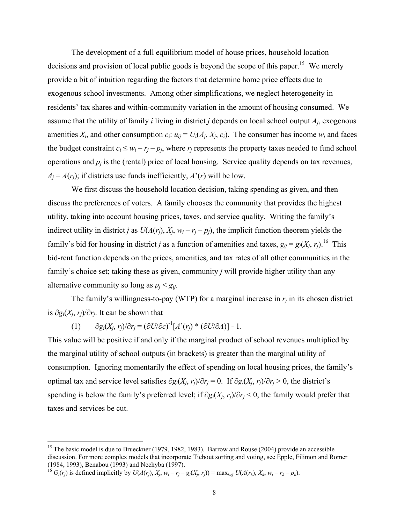The development of a full equilibrium model of house prices, household location decisions and provision of local public goods is beyond the scope of this paper.<sup>15</sup> We merely provide a bit of intuition regarding the factors that determine home price effects due to exogenous school investments. Among other simplifications, we neglect heterogeneity in residents' tax shares and within-community variation in the amount of housing consumed. We assume that the utility of family *i* living in district *j* depends on local school output *Aj*, exogenous amenities  $X_i$ , and other consumption  $c_i$ :  $u_{ii} = U_i(A_i, X_i, c_i)$ . The consumer has income  $w_i$  and faces the budget constraint  $c_i \leq w_i - r_j - p_j$ , where  $r_j$  represents the property taxes needed to fund school operations and  $p_i$  is the (rental) price of local housing. Service quality depends on tax revenues,  $A_i = A(r_i)$ ; if districts use funds inefficiently,  $A'(r)$  will be low.

We first discuss the household location decision, taking spending as given, and then discuss the preferences of voters. A family chooses the community that provides the highest utility, taking into account housing prices, taxes, and service quality. Writing the family's indirect utility in district *j* as  $U(A(r_i), X_i, w_i - r_j - p_i)$ , the implicit function theorem yields the family's bid for housing in district *j* as a function of amenities and taxes,  $g_{ii} = g_i(X_i, r_i)$ .<sup>16</sup> This bid-rent function depends on the prices, amenities, and tax rates of all other communities in the family's choice set; taking these as given, community *j* will provide higher utility than any alternative community so long as  $p_i < g_{ii}$ .

The family's willingness-to-pay (WTP) for a marginal increase in  $r_i$  in its chosen district is ∂*gi*(*Xj*, *rj*)/∂*rj*. It can be shown that

(1)  $∂g_i(X_j, r_j)/∂r_j = (∂U/∂c)<sup>-1</sup>[A'(r_j) * (∂U/∂A)] - 1.$ 

This value will be positive if and only if the marginal product of school revenues multiplied by the marginal utility of school outputs (in brackets) is greater than the marginal utility of consumption. Ignoring momentarily the effect of spending on local housing prices, the family's optimal tax and service level satisfies  $\partial g_i(X_i, r_i)/\partial r_i = 0$ . If  $\partial g_i(X_i, r_i)/\partial r_i > 0$ , the district's spending is below the family's preferred level; if ∂*gi*(*Xj*, *rj*)/∂*rj* < 0, the family would prefer that taxes and services be cut.

 $\overline{a}$ 

<sup>&</sup>lt;sup>15</sup> The basic model is due to Brueckner (1979, 1982, 1983). Barrow and Rouse (2004) provide an accessible discussion. For more complex models that incorporate Tiebout sorting and voting, see Epple, Filimon and Romer (1984, 1993), Benabou (1993) and Nechyba (1997).

<sup>&</sup>lt;sup>16</sup>  $G_i(r_i)$  is defined implicitly by  $U(A(r_i), X_i, w_i - r_i - g_i(X_i, r_i)) = \max_{k \neq j} U(A(r_k), X_k, w_i - r_k - p_k)$ .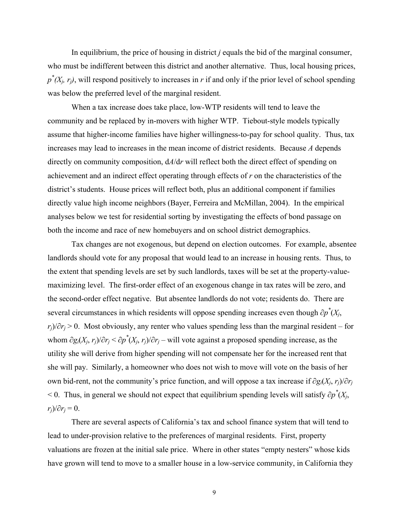In equilibrium, the price of housing in district *j* equals the bid of the marginal consumer, who must be indifferent between this district and another alternative. Thus, local housing prices,  $p^*(X_i, r_i)$ , will respond positively to increases in *r* if and only if the prior level of school spending was below the preferred level of the marginal resident.

When a tax increase does take place, low-WTP residents will tend to leave the community and be replaced by in-movers with higher WTP. Tiebout-style models typically assume that higher-income families have higher willingness-to-pay for school quality. Thus, tax increases may lead to increases in the mean income of district residents. Because *A* depends directly on community composition, d*A*/d*r* will reflect both the direct effect of spending on achievement and an indirect effect operating through effects of *r* on the characteristics of the district's students. House prices will reflect both, plus an additional component if families directly value high income neighbors (Bayer, Ferreira and McMillan, 2004). In the empirical analyses below we test for residential sorting by investigating the effects of bond passage on both the income and race of new homebuyers and on school district demographics.

Tax changes are not exogenous, but depend on election outcomes. For example, absentee landlords should vote for any proposal that would lead to an increase in housing rents. Thus, to the extent that spending levels are set by such landlords, taxes will be set at the property-valuemaximizing level. The first-order effect of an exogenous change in tax rates will be zero, and the second-order effect negative. But absentee landlords do not vote; residents do. There are several circumstances in which residents will oppose spending increases even though  $\partial p^*(X_j)$ , *r<sub>i</sub>*)/∂*r<sub>i</sub>* > 0. Most obviously, any renter who values spending less than the marginal resident – for whom  $\partial g_i(X_j, r_j)/\partial r_j < \partial p^*(X_j, r_j)/\partial r_j$  – will vote against a proposed spending increase, as the utility she will derive from higher spending will not compensate her for the increased rent that she will pay. Similarly, a homeowner who does not wish to move will vote on the basis of her own bid-rent, not the community's price function, and will oppose a tax increase if ∂*gi*(*Xj*, *rj*)/∂*rj* < 0. Thus, in general we should not expect that equilibrium spending levels will satisfy ∂*p\** (*Xj*,  $r_i$ *)*/ $\partial r_i$  = 0.

There are several aspects of California's tax and school finance system that will tend to lead to under-provision relative to the preferences of marginal residents. First, property valuations are frozen at the initial sale price. Where in other states "empty nesters" whose kids have grown will tend to move to a smaller house in a low-service community, in California they

9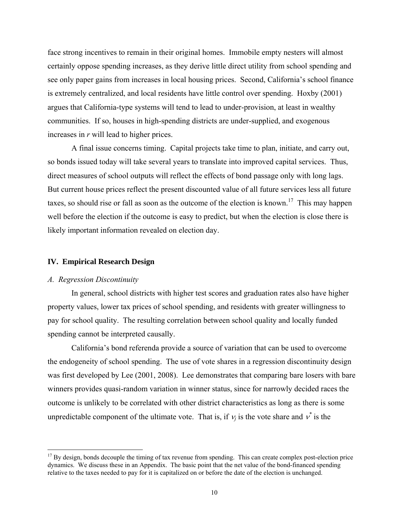face strong incentives to remain in their original homes. Immobile empty nesters will almost certainly oppose spending increases, as they derive little direct utility from school spending and see only paper gains from increases in local housing prices. Second, California's school finance is extremely centralized, and local residents have little control over spending. Hoxby (2001) argues that California-type systems will tend to lead to under-provision, at least in wealthy communities. If so, houses in high-spending districts are under-supplied, and exogenous increases in *r* will lead to higher prices.

A final issue concerns timing. Capital projects take time to plan, initiate, and carry out, so bonds issued today will take several years to translate into improved capital services. Thus, direct measures of school outputs will reflect the effects of bond passage only with long lags. But current house prices reflect the present discounted value of all future services less all future taxes, so should rise or fall as soon as the outcome of the election is known.<sup>17</sup> This may happen well before the election if the outcome is easy to predict, but when the election is close there is likely important information revealed on election day.

# **IV. Empirical Research Design**

#### *A. Regression Discontinuity*

1

In general, school districts with higher test scores and graduation rates also have higher property values, lower tax prices of school spending, and residents with greater willingness to pay for school quality. The resulting correlation between school quality and locally funded spending cannot be interpreted causally.

California's bond referenda provide a source of variation that can be used to overcome the endogeneity of school spending. The use of vote shares in a regression discontinuity design was first developed by Lee (2001, 2008). Lee demonstrates that comparing bare losers with bare winners provides quasi-random variation in winner status, since for narrowly decided races the outcome is unlikely to be correlated with other district characteristics as long as there is some unpredictable component of the ultimate vote. That is, if  $v_j$  is the vote share and  $v^*$  is the

 $17$  By design, bonds decouple the timing of tax revenue from spending. This can create complex post-election price dynamics. We discuss these in an Appendix. The basic point that the net value of the bond-financed spending relative to the taxes needed to pay for it is capitalized on or before the date of the election is unchanged.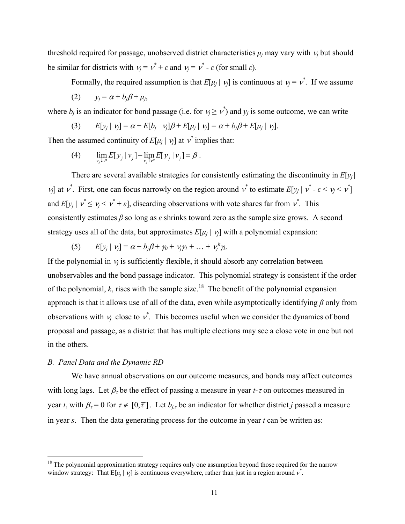threshold required for passage, unobserved district characteristics  $\mu_i$  may vary with  $\nu_i$  but should be similar for districts with  $v_j = v^* + \varepsilon$  and  $v_j = v^* - \varepsilon$  (for small  $\varepsilon$ ).

Formally, the required assumption is that  $E[\mu_j | \nu_j]$  is continuous at  $\nu_j = \nu^*$ . If we assume  $y_i = \alpha + b_i \beta + \mu_i$ 

where  $b_j$  is an indicator for bond passage (i.e. for  $v_j \ge v^*$ ) and  $y_j$  is some outcome, we can write

(3) 
$$
E[y_j | y_j] = \alpha + E[b_j | y_j] \beta + E[\mu_j | y_j] = \alpha + b_j \beta + E[\mu_j | y_j].
$$

Then the assumed continuity of  $E[\mu_j | \nu_j]$  at  $\nu^*$  implies that:

(4)  $\lim_{\nu_j \downarrow \nu^*} E[y_j | \nu_j] - \lim_{\nu_j \uparrow \nu^*} E[y_j | \nu_j] = \beta.$ 

There are several available strategies for consistently estimating the discontinuity in  $E[y_i]$ *v*<sub>j</sub> at  $v^*$ . First, one can focus narrowly on the region around  $v^*$  to estimate  $E[y_j | v^* - \varepsilon < v_j < v^*]$ and  $E[y_j | v^* \leq v_j < v^* + \varepsilon]$ , discarding observations with vote shares far from  $v^*$ . This consistently estimates *β* so long as *ε* shrinks toward zero as the sample size grows. A second strategy uses all of the data, but approximates  $E[\mu_i | \nu_j]$  with a polynomial expansion:

(5) 
$$
E[y_j | y_j] = \alpha + b_j \beta + \gamma_0 + \gamma_j \gamma_1 + \ldots + \gamma_j^k \gamma_k.
$$

If the polynomial in  $v_i$  is sufficiently flexible, it should absorb any correlation between unobservables and the bond passage indicator. This polynomial strategy is consistent if the order of the polynomial,  $k$ , rises with the sample size.<sup>18</sup> The benefit of the polynomial expansion approach is that it allows use of all of the data, even while asymptotically identifying *β* only from observations with  $v_j$  close to  $v^*$ . This becomes useful when we consider the dynamics of bond proposal and passage, as a district that has multiple elections may see a close vote in one but not in the others.

## *B. Panel Data and the Dynamic RD*

 $\overline{a}$ 

We have annual observations on our outcome measures, and bonds may affect outcomes with long lags. Let  $\beta_{\tau}$  be the effect of passing a measure in year *t*- $\tau$  on outcomes measured in year *t*, with  $\beta_{\tau} = 0$  for  $\tau \notin [0, \overline{\tau}]$ . Let  $b_{j,s}$  be an indicator for whether district *j* passed a measure in year *s*. Then the data generating process for the outcome in year *t* can be written as:

 $18$  The polynomial approximation strategy requires only one assumption beyond those required for the narrow window strategy: That  $E[\mu_j | \nu_j]$  is continuous everywhere, rather than just in a region around  $v^*$ .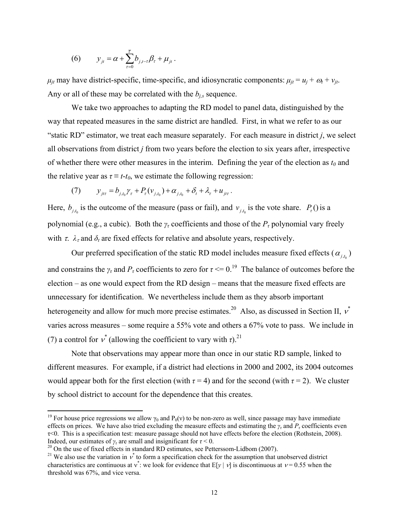(6) 
$$
y_{j_t} = \alpha + \sum_{\tau=0}^{\bar{\tau}} b_{j,t-\tau} \beta_{\tau} + \mu_{jt}
$$
.

 $\mu_{it}$  may have district-specific, time-specific, and idiosyncratic components:  $\mu_{it} = u_i + \omega_t + v_{it}$ . Any or all of these may be correlated with the  $b_{j,s}$  sequence.

We take two approaches to adapting the RD model to panel data, distinguished by the way that repeated measures in the same district are handled. First, in what we refer to as our "static RD" estimator, we treat each measure separately. For each measure in district *j*, we select all observations from district *j* from two years before the election to six years after, irrespective of whether there were other measures in the interim. Defining the year of the election as  $t_0$  and the relative year as  $\tau \equiv t - t_0$ , we estimate the following regression:

(7) 
$$
y_{jtt} = b_{j,t_0} \gamma_{\tau} + P_{\tau} (v_{j,t_0}) + \alpha_{j,t_0} + \delta_t + \lambda_{\tau} + u_{jtt}.
$$

Here,  $b_{i,t_0}$  is the outcome of the measure (pass or fail), and  $v_{i,t_0}$  is the vote share.  $P_{\tau}$  () is a polynomial (e.g., a cubic). Both the  $\gamma$ <sup>*τ*</sup> coefficients and those of the  $P$ <sup>*τ*</sup> polynomial vary freely with  $\tau$ .  $\lambda_{\tau}$  and  $\delta_t$  are fixed effects for relative and absolute years, respectively.

Our preferred specification of the static RD model includes measure fixed effects ( $\alpha_{j,k}$ ) and constrains the  $\gamma$ <sup>*τ*</sup> and  $P$ <sup>*τ*</sup> coefficients to zero for  $\tau \le 0$ .<sup>19</sup> The balance of outcomes before the election – as one would expect from the RD design – means that the measure fixed effects are unnecessary for identification. We nevertheless include them as they absorb important heterogeneity and allow for much more precise estimates.<sup>20</sup> Also, as discussed in Section II,  $v^*$ varies across measures – some require a 55% vote and others a 67% vote to pass. We include in (7) a control for  $v^*$  (allowing the coefficient to vary with  $\tau$ ).<sup>21</sup>

Note that observations may appear more than once in our static RD sample, linked to different measures. For example, if a district had elections in 2000 and 2002, its 2004 outcomes would appear both for the first election (with  $\tau = 4$ ) and for the second (with  $\tau = 2$ ). We cluster by school district to account for the dependence that this creates.

 $\overline{a}$ 

<sup>&</sup>lt;sup>19</sup> For house price regressions we allow  $\gamma_0$  and P<sub>0</sub>(v) to be non-zero as well, since passage may have immediate effects on prices. We have also tried excluding the measure effects and estimating the  $\gamma$ *<sub>τ</sub>* and  $P$ <sub>*τ*</sub> coefficients even τ<0. This is a specification test: measure passage should not have effects before the election (Rothstein, 2008). Indeed, our estimates of  $\gamma_{\tau}$  are small and insignificant for  $\tau$  < 0.<br><sup>20</sup> On the use of fixed effects in standard RD estimates, see Petterssom-Lidbom (2007).

*<sup>\*</sup>* to form a specification check for the assumption that unobserved district characteristics are continuous at  $v^*$ : we look for evidence that  $E[y | v]$  is discontinuous at  $v = 0.55$  when the threshold was 67%, and vice versa.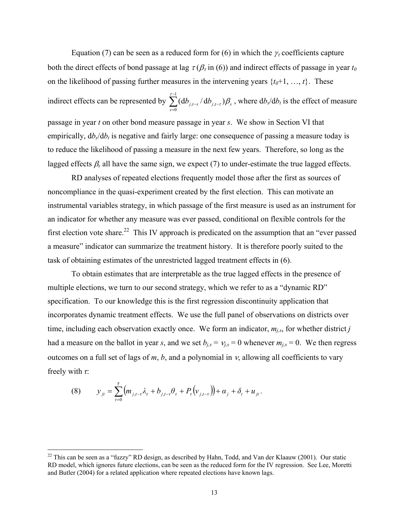Equation (7) can be seen as a reduced form for (6) in which the  $\gamma_{\tau}$  coefficients capture both the direct effects of bond passage at lag  $\tau(\beta_{\tau}$  in (6)) and indirect effects of passage in year  $t_0$ on the likelihood of passing further measures in the intervening years  $\{t_0+1, \ldots, t\}$ . These indirect effects can be represented by 1  $t-s \mid \mathbf{u} \nu_j$  $\mathbf{0}$  $(\mathrm{d} b_{j,t-s}^{\phantom{\dag}} \, / \, \mathrm{d} b_{j,t-\tau}^{\phantom{\dag}}) \beta_s$ *s*  $\sum_{i=t-s}^{t-1} (\mathrm{d}b_{i,t-s}^{\phantom{\dag}}/\mathrm{d}b_{i,t-\tau}^{\phantom{\dag}}) \beta_s$ - $-s$ <sup>'</sup>  $\mathbf{u} \boldsymbol{\nu}_{j,t-}$  $\sum_{s=0} (db_{j,t-s}/db_{j,t-\tau})\beta_s$ , where  $db_s/db_t$  is the effect of measure passage in year *t* on other bond measure passage in year *s*. We show in Section VI that empirically,  $d\phi/d\phi$  is negative and fairly large: one consequence of passing a measure today is to reduce the likelihood of passing a measure in the next few years. Therefore, so long as the lagged effects  $\beta_s$  all have the same sign, we expect (7) to under-estimate the true lagged effects.

RD analyses of repeated elections frequently model those after the first as sources of noncompliance in the quasi-experiment created by the first election. This can motivate an instrumental variables strategy, in which passage of the first measure is used as an instrument for an indicator for whether any measure was ever passed, conditional on flexible controls for the first election vote share.<sup>22</sup> This IV approach is predicated on the assumption that an "ever passed a measure" indicator can summarize the treatment history. It is therefore poorly suited to the task of obtaining estimates of the unrestricted lagged treatment effects in (6).

To obtain estimates that are interpretable as the true lagged effects in the presence of multiple elections, we turn to our second strategy, which we refer to as a "dynamic RD" specification. To our knowledge this is the first regression discontinuity application that incorporates dynamic treatment effects. We use the full panel of observations on districts over time, including each observation exactly once. We form an indicator,  $m_{i,s}$ , for whether district *j* had a measure on the ballot in year *s*, and we set  $b_{j,s} = v_{j,s} = 0$  whenever  $m_{j,s} = 0$ . We then regress outcomes on a full set of lags of  $m$ ,  $b$ , and a polynomial in  $v$ , allowing all coefficients to vary freely with *τ*:

(8) 
$$
y_{jt} = \sum_{\tau=0}^{\bar{\tau}} \left( m_{j,t-\tau} \lambda_{\tau} + b_{j,t-\tau} \theta_{\tau} + P_{\tau} (v_{j,t-\tau}) \right) + \alpha_j + \delta_t + u_{jt}.
$$

 $\overline{a}$ 

 $^{22}$  This can be seen as a "fuzzy" RD design, as described by Hahn, Todd, and Van der Klaauw (2001). Our static RD model, which ignores future elections, can be seen as the reduced form for the IV regression. See Lee, Moretti and Butler (2004) for a related application where repeated elections have known lags.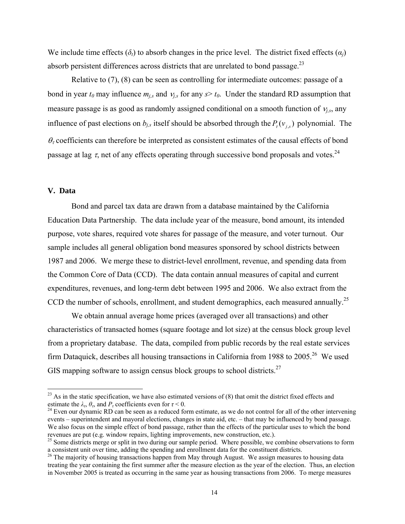We include time effects  $(\delta_t)$  to absorb changes in the price level. The district fixed effects  $(\alpha_i)$ absorb persistent differences across districts that are unrelated to bond passage.<sup>23</sup>

Relative to (7), (8) can be seen as controlling for intermediate outcomes: passage of a bond in year  $t_0$  may influence  $m_{j,s}$  and  $v_{j,s}$  for any  $s > t_0$ . Under the standard RD assumption that measure passage is as good as randomly assigned conditional on a smooth function of  $v_{j,s}$ , any influence of past elections on  $b_{j,s}$  itself should be absorbed through the  $P_{\tau}(v_{j,s})$  polynomial. The  $\theta_{\tau}$  coefficients can therefore be interpreted as consistent estimates of the causal effects of bond passage at lag  $\tau$ , net of any effects operating through successive bond proposals and votes.<sup>24</sup>

## **V. Data**

 $\overline{a}$ 

Bond and parcel tax data are drawn from a database maintained by the California Education Data Partnership. The data include year of the measure, bond amount, its intended purpose, vote shares, required vote shares for passage of the measure, and voter turnout. Our sample includes all general obligation bond measures sponsored by school districts between 1987 and 2006. We merge these to district-level enrollment, revenue, and spending data from the Common Core of Data (CCD). The data contain annual measures of capital and current expenditures, revenues, and long-term debt between 1995 and 2006. We also extract from the CCD the number of schools, enrollment, and student demographics, each measured annually.<sup>25</sup>

We obtain annual average home prices (averaged over all transactions) and other characteristics of transacted homes (square footage and lot size) at the census block group level from a proprietary database. The data, compiled from public records by the real estate services firm Dataquick, describes all housing transactions in California from 1988 to  $2005$ <sup>26</sup> We used GIS mapping software to assign census block groups to school districts.<sup>27</sup>

<sup>&</sup>lt;sup>23</sup> As in the static specification, we have also estimated versions of (8) that omit the district fixed effects and estimate the  $\lambda_{\tau}$ ,  $\theta_{\tau}$ , and  $P_{\tau}$  coefficients even for  $\tau$  < 0.

<sup>&</sup>lt;sup>24</sup> Even our dynamic RD can be seen as a reduced form estimate, as we do not control for all of the other intervening events – superintendent and mayoral elections, changes in state aid, etc. – that may be influenced by bond passage. We also focus on the simple effect of bond passage, rather than the effects of the particular uses to which the bond revenues are put (e.g. window repairs, lighting improvements, new construction, etc.).

<sup>&</sup>lt;sup>25</sup> Some districts merge or split in two during our sample period. Where possible, we combine observations to form a consistent unit over time, adding the spending and enrollment data for the constituent districts.

<sup>&</sup>lt;sup>26</sup> The majority of housing transactions happen from May through August. We assign measures to housing data treating the year containing the first summer after the measure election as the year of the election. Thus, an election in November 2005 is treated as occurring in the same year as housing transactions from 2006. To merge measures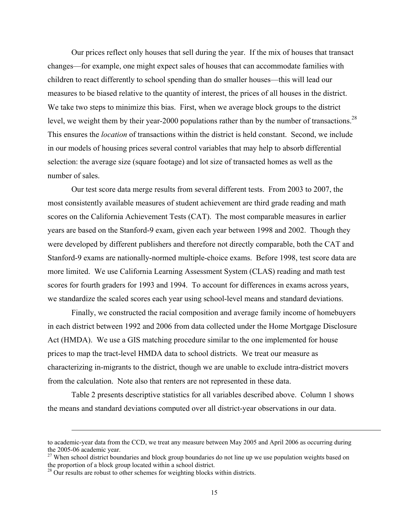Our prices reflect only houses that sell during the year. If the mix of houses that transact changes—for example, one might expect sales of houses that can accommodate families with children to react differently to school spending than do smaller houses—this will lead our measures to be biased relative to the quantity of interest, the prices of all houses in the district. We take two steps to minimize this bias. First, when we average block groups to the district level, we weight them by their year-2000 populations rather than by the number of transactions.<sup>28</sup> This ensures the *location* of transactions within the district is held constant. Second, we include in our models of housing prices several control variables that may help to absorb differential selection: the average size (square footage) and lot size of transacted homes as well as the number of sales.

Our test score data merge results from several different tests. From 2003 to 2007, the most consistently available measures of student achievement are third grade reading and math scores on the California Achievement Tests (CAT). The most comparable measures in earlier years are based on the Stanford-9 exam, given each year between 1998 and 2002. Though they were developed by different publishers and therefore not directly comparable, both the CAT and Stanford-9 exams are nationally-normed multiple-choice exams. Before 1998, test score data are more limited. We use California Learning Assessment System (CLAS) reading and math test scores for fourth graders for 1993 and 1994. To account for differences in exams across years, we standardize the scaled scores each year using school-level means and standard deviations.

Finally, we constructed the racial composition and average family income of homebuyers in each district between 1992 and 2006 from data collected under the Home Mortgage Disclosure Act (HMDA). We use a GIS matching procedure similar to the one implemented for house prices to map the tract-level HMDA data to school districts. We treat our measure as characterizing in-migrants to the district, though we are unable to exclude intra-district movers from the calculation. Note also that renters are not represented in these data.

Table 2 presents descriptive statistics for all variables described above. Column 1 shows the means and standard deviations computed over all district-year observations in our data.

<u>.</u>

to academic-year data from the CCD, we treat any measure between May 2005 and April 2006 as occurring during the 2005-06 academic year.

<sup>&</sup>lt;sup>27</sup> When school district boundaries and block group boundaries do not line up we use population weights based on the proportion of a block group located within a school district.

 $28$  Our results are robust to other schemes for weighting blocks within districts.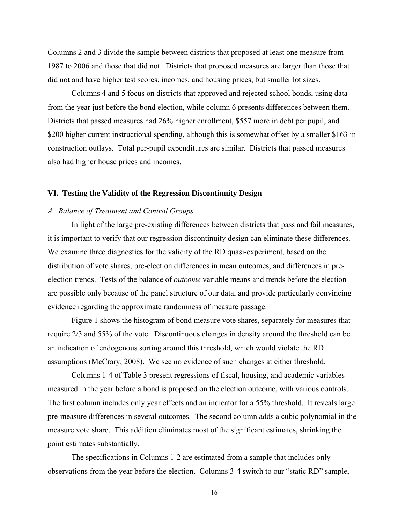Columns 2 and 3 divide the sample between districts that proposed at least one measure from 1987 to 2006 and those that did not. Districts that proposed measures are larger than those that did not and have higher test scores, incomes, and housing prices, but smaller lot sizes.

Columns 4 and 5 focus on districts that approved and rejected school bonds, using data from the year just before the bond election, while column 6 presents differences between them. Districts that passed measures had 26% higher enrollment, \$557 more in debt per pupil, and \$200 higher current instructional spending, although this is somewhat offset by a smaller \$163 in construction outlays. Total per-pupil expenditures are similar. Districts that passed measures also had higher house prices and incomes.

#### **VI. Testing the Validity of the Regression Discontinuity Design**

## *A. Balance of Treatment and Control Groups*

In light of the large pre-existing differences between districts that pass and fail measures, it is important to verify that our regression discontinuity design can eliminate these differences. We examine three diagnostics for the validity of the RD quasi-experiment, based on the distribution of vote shares, pre-election differences in mean outcomes, and differences in preelection trends. Tests of the balance of *outcome* variable means and trends before the election are possible only because of the panel structure of our data, and provide particularly convincing evidence regarding the approximate randomness of measure passage.

Figure 1 shows the histogram of bond measure vote shares, separately for measures that require 2/3 and 55% of the vote. Discontinuous changes in density around the threshold can be an indication of endogenous sorting around this threshold, which would violate the RD assumptions (McCrary, 2008). We see no evidence of such changes at either threshold.

Columns 1-4 of Table 3 present regressions of fiscal, housing, and academic variables measured in the year before a bond is proposed on the election outcome, with various controls. The first column includes only year effects and an indicator for a 55% threshold. It reveals large pre-measure differences in several outcomes. The second column adds a cubic polynomial in the measure vote share. This addition eliminates most of the significant estimates, shrinking the point estimates substantially.

The specifications in Columns 1-2 are estimated from a sample that includes only observations from the year before the election. Columns 3-4 switch to our "static RD" sample,

16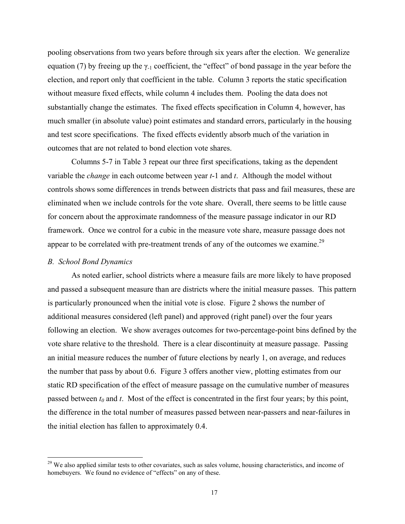pooling observations from two years before through six years after the election. We generalize equation (7) by freeing up the  $\gamma_{-1}$  coefficient, the "effect" of bond passage in the year before the election, and report only that coefficient in the table. Column 3 reports the static specification without measure fixed effects, while column 4 includes them. Pooling the data does not substantially change the estimates. The fixed effects specification in Column 4, however, has much smaller (in absolute value) point estimates and standard errors, particularly in the housing and test score specifications. The fixed effects evidently absorb much of the variation in outcomes that are not related to bond election vote shares.

Columns 5-7 in Table 3 repeat our three first specifications, taking as the dependent variable the *change* in each outcome between year *t*-1 and *t*. Although the model without controls shows some differences in trends between districts that pass and fail measures, these are eliminated when we include controls for the vote share. Overall, there seems to be little cause for concern about the approximate randomness of the measure passage indicator in our RD framework. Once we control for a cubic in the measure vote share, measure passage does not appear to be correlated with pre-treatment trends of any of the outcomes we examine.<sup>29</sup>

## *B. School Bond Dynamics*

1

As noted earlier, school districts where a measure fails are more likely to have proposed and passed a subsequent measure than are districts where the initial measure passes. This pattern is particularly pronounced when the initial vote is close. Figure 2 shows the number of additional measures considered (left panel) and approved (right panel) over the four years following an election. We show averages outcomes for two-percentage-point bins defined by the vote share relative to the threshold. There is a clear discontinuity at measure passage. Passing an initial measure reduces the number of future elections by nearly 1, on average, and reduces the number that pass by about 0.6. Figure 3 offers another view, plotting estimates from our static RD specification of the effect of measure passage on the cumulative number of measures passed between  $t_0$  and  $t$ . Most of the effect is concentrated in the first four years; by this point, the difference in the total number of measures passed between near-passers and near-failures in the initial election has fallen to approximately 0.4.

<sup>&</sup>lt;sup>29</sup> We also applied similar tests to other covariates, such as sales volume, housing characteristics, and income of homebuyers. We found no evidence of "effects" on any of these.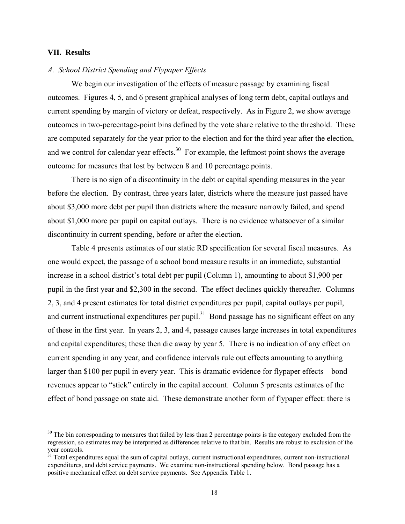## **VII. Results**

 $\overline{a}$ 

## *A. School District Spending and Flypaper Effects*

We begin our investigation of the effects of measure passage by examining fiscal outcomes. Figures 4, 5, and 6 present graphical analyses of long term debt, capital outlays and current spending by margin of victory or defeat, respectively. As in Figure 2, we show average outcomes in two-percentage-point bins defined by the vote share relative to the threshold. These are computed separately for the year prior to the election and for the third year after the election, and we control for calendar year effects.<sup>30</sup> For example, the leftmost point shows the average outcome for measures that lost by between 8 and 10 percentage points.

There is no sign of a discontinuity in the debt or capital spending measures in the year before the election. By contrast, three years later, districts where the measure just passed have about \$3,000 more debt per pupil than districts where the measure narrowly failed, and spend about \$1,000 more per pupil on capital outlays. There is no evidence whatsoever of a similar discontinuity in current spending, before or after the election.

Table 4 presents estimates of our static RD specification for several fiscal measures. As one would expect, the passage of a school bond measure results in an immediate, substantial increase in a school district's total debt per pupil (Column 1), amounting to about \$1,900 per pupil in the first year and \$2,300 in the second. The effect declines quickly thereafter. Columns 2, 3, and 4 present estimates for total district expenditures per pupil, capital outlays per pupil, and current instructional expenditures per pupil.<sup>31</sup> Bond passage has no significant effect on any of these in the first year. In years 2, 3, and 4, passage causes large increases in total expenditures and capital expenditures; these then die away by year 5. There is no indication of any effect on current spending in any year, and confidence intervals rule out effects amounting to anything larger than \$100 per pupil in every year. This is dramatic evidence for flypaper effects—bond revenues appear to "stick" entirely in the capital account. Column 5 presents estimates of the effect of bond passage on state aid. These demonstrate another form of flypaper effect: there is

 $30$  The bin corresponding to measures that failed by less than 2 percentage points is the category excluded from the regression, so estimates may be interpreted as differences relative to that bin. Results are robust to exclusion of the year controls.

<sup>&</sup>lt;sup>31</sup> Total expenditures equal the sum of capital outlays, current instructional expenditures, current non-instructional expenditures, and debt service payments. We examine non-instructional spending below. Bond passage has a positive mechanical effect on debt service payments. See Appendix Table 1.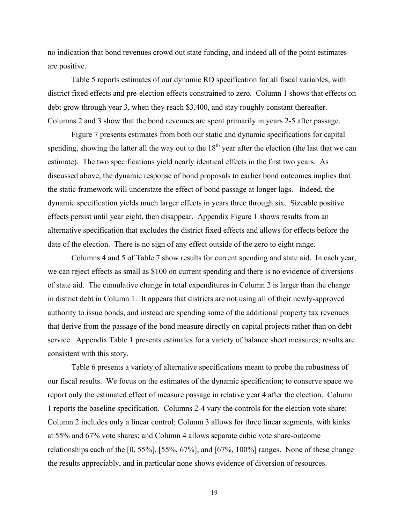no indication that bond revenues crowd out state funding, and indeed all of the point estimates are positive.

Table 5 reports estimates of our dynamic RD specification for all fiscal variables, with district fixed effects and pre-election effects constrained to zero. Column 1 shows that effects on debt grow through year 3, when they reach \$3,400, and stay roughly constant thereafter. Columns 2 and 3 show that the bond revenues are spent primarily in years 2-5 after passage.

Figure 7 presents estimates from both our static and dynamic specifications for capital spending, showing the latter all the way out to the  $18<sup>th</sup>$  year after the election (the last that we can estimate). The two specifications yield nearly identical effects in the first two years. As discussed above, the dynamic response of bond proposals to earlier bond outcomes implies that the static framework will understate the effect of bond passage at longer lags. Indeed, the dynamic specification yields much larger effects in years three through six. Sizeable positive effects persist until year eight, then disappear. Appendix Figure 1 shows results from an alternative specification that excludes the district fixed effects and allows for effects before the date of the election. There is no sign of any effect outside of the zero to eight range.

Columns 4 and 5 of Table 7 show results for current spending and state aid. In each year, we can reject effects as small as \$100 on current spending and there is no evidence of diversions of state aid. The cumulative change in total expenditures in Column 2 is larger than the change in district debt in Column 1. It appears that districts are not using all of their newly-approved authority to issue bonds, and instead are spending some of the additional property tax revenues that derive from the passage of the bond measure directly on capital projects rather than on debt service. Appendix Table 1 presents estimates for a variety of balance sheet measures; results are consistent with this story.

Table 6 presents a variety of alternative specifications meant to probe the robustness of our fiscal results. We focus on the estimates of the dynamic specification; to conserve space we report only the estimated effect of measure passage in relative year 4 after the election. Column 1 reports the baseline specification. Columns 2-4 vary the controls for the election vote share: Column 2 includes only a linear control; Column 3 allows for three linear segments, with kinks at 55% and 67% vote shares; and Column 4 allows separate cubic vote share-outcome relationships each of the [0, 55%], [55%, 67%], and [67%, 100%] ranges. None of these change the results appreciably, and in particular none shows evidence of diversion of resources.

19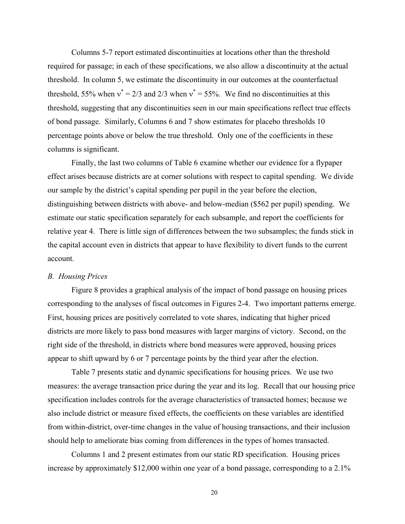Columns 5-7 report estimated discontinuities at locations other than the threshold required for passage; in each of these specifications, we also allow a discontinuity at the actual threshold. In column 5, we estimate the discontinuity in our outcomes at the counterfactual threshold, 55% when  $v^* = 2/3$  and 2/3 when  $v^* = 55$ %. We find no discontinuities at this threshold, suggesting that any discontinuities seen in our main specifications reflect true effects of bond passage. Similarly, Columns 6 and 7 show estimates for placebo thresholds 10 percentage points above or below the true threshold. Only one of the coefficients in these columns is significant.

Finally, the last two columns of Table 6 examine whether our evidence for a flypaper effect arises because districts are at corner solutions with respect to capital spending. We divide our sample by the district's capital spending per pupil in the year before the election, distinguishing between districts with above- and below-median (\$562 per pupil) spending. We estimate our static specification separately for each subsample, and report the coefficients for relative year 4. There is little sign of differences between the two subsamples; the funds stick in the capital account even in districts that appear to have flexibility to divert funds to the current account.

## *B. Housing Prices*

Figure 8 provides a graphical analysis of the impact of bond passage on housing prices corresponding to the analyses of fiscal outcomes in Figures 2-4. Two important patterns emerge. First, housing prices are positively correlated to vote shares, indicating that higher priced districts are more likely to pass bond measures with larger margins of victory. Second, on the right side of the threshold, in districts where bond measures were approved, housing prices appear to shift upward by 6 or 7 percentage points by the third year after the election.

Table 7 presents static and dynamic specifications for housing prices. We use two measures: the average transaction price during the year and its log. Recall that our housing price specification includes controls for the average characteristics of transacted homes; because we also include district or measure fixed effects, the coefficients on these variables are identified from within-district, over-time changes in the value of housing transactions, and their inclusion should help to ameliorate bias coming from differences in the types of homes transacted.

Columns 1 and 2 present estimates from our static RD specification. Housing prices increase by approximately \$12,000 within one year of a bond passage, corresponding to a 2.1%

20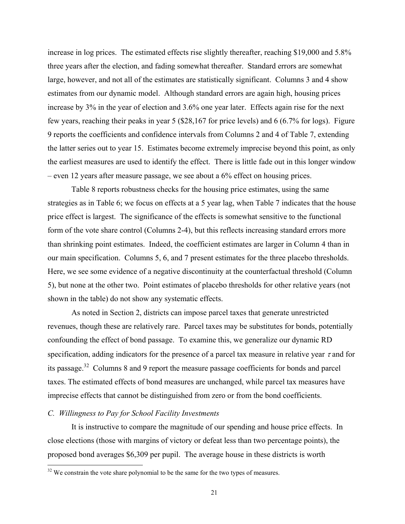increase in log prices. The estimated effects rise slightly thereafter, reaching \$19,000 and 5.8% three years after the election, and fading somewhat thereafter. Standard errors are somewhat large, however, and not all of the estimates are statistically significant. Columns 3 and 4 show estimates from our dynamic model. Although standard errors are again high, housing prices increase by 3% in the year of election and 3.6% one year later. Effects again rise for the next few years, reaching their peaks in year 5 (\$28,167 for price levels) and 6 (6.7% for logs). Figure 9 reports the coefficients and confidence intervals from Columns 2 and 4 of Table 7, extending the latter series out to year 15. Estimates become extremely imprecise beyond this point, as only the earliest measures are used to identify the effect. There is little fade out in this longer window – even 12 years after measure passage, we see about a 6% effect on housing prices.

Table 8 reports robustness checks for the housing price estimates, using the same strategies as in Table 6; we focus on effects at a 5 year lag, when Table 7 indicates that the house price effect is largest. The significance of the effects is somewhat sensitive to the functional form of the vote share control (Columns 2-4), but this reflects increasing standard errors more than shrinking point estimates. Indeed, the coefficient estimates are larger in Column 4 than in our main specification. Columns 5, 6, and 7 present estimates for the three placebo thresholds. Here, we see some evidence of a negative discontinuity at the counterfactual threshold (Column 5), but none at the other two. Point estimates of placebo thresholds for other relative years (not shown in the table) do not show any systematic effects.

As noted in Section 2, districts can impose parcel taxes that generate unrestricted revenues, though these are relatively rare. Parcel taxes may be substitutes for bonds, potentially confounding the effect of bond passage. To examine this, we generalize our dynamic RD specification, adding indicators for the presence of a parcel tax measure in relative year  $\tau$  and for its passage.32 Columns 8 and 9 report the measure passage coefficients for bonds and parcel taxes. The estimated effects of bond measures are unchanged, while parcel tax measures have imprecise effects that cannot be distinguished from zero or from the bond coefficients.

## *C. Willingness to Pay for School Facility Investments*

 $\overline{a}$ 

It is instructive to compare the magnitude of our spending and house price effects. In close elections (those with margins of victory or defeat less than two percentage points), the proposed bond averages \$6,309 per pupil. The average house in these districts is worth

 $32$  We constrain the vote share polynomial to be the same for the two types of measures.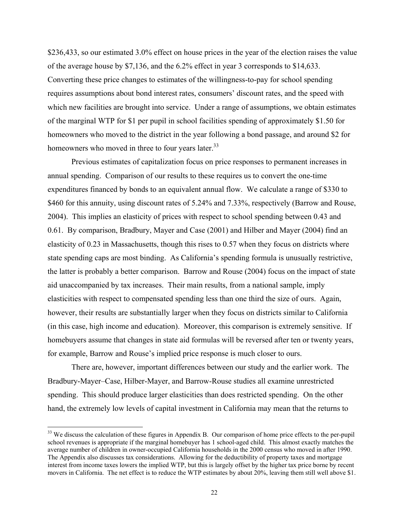\$236,433, so our estimated 3.0% effect on house prices in the year of the election raises the value of the average house by \$7,136, and the 6.2% effect in year 3 corresponds to \$14,633. Converting these price changes to estimates of the willingness-to-pay for school spending requires assumptions about bond interest rates, consumers' discount rates, and the speed with which new facilities are brought into service. Under a range of assumptions, we obtain estimates of the marginal WTP for \$1 per pupil in school facilities spending of approximately \$1.50 for homeowners who moved to the district in the year following a bond passage, and around \$2 for homeowners who moved in three to four years later.<sup>33</sup>

Previous estimates of capitalization focus on price responses to permanent increases in annual spending. Comparison of our results to these requires us to convert the one-time expenditures financed by bonds to an equivalent annual flow. We calculate a range of \$330 to \$460 for this annuity, using discount rates of 5.24% and 7.33%, respectively (Barrow and Rouse, 2004). This implies an elasticity of prices with respect to school spending between 0.43 and 0.61. By comparison, Bradbury, Mayer and Case (2001) and Hilber and Mayer (2004) find an elasticity of 0.23 in Massachusetts, though this rises to 0.57 when they focus on districts where state spending caps are most binding. As California's spending formula is unusually restrictive, the latter is probably a better comparison. Barrow and Rouse (2004) focus on the impact of state aid unaccompanied by tax increases. Their main results, from a national sample, imply elasticities with respect to compensated spending less than one third the size of ours. Again, however, their results are substantially larger when they focus on districts similar to California (in this case, high income and education). Moreover, this comparison is extremely sensitive. If homebuyers assume that changes in state aid formulas will be reversed after ten or twenty years, for example, Barrow and Rouse's implied price response is much closer to ours.

There are, however, important differences between our study and the earlier work. The Bradbury-Mayer–Case, Hilber-Mayer, and Barrow-Rouse studies all examine unrestricted spending. This should produce larger elasticities than does restricted spending. On the other hand, the extremely low levels of capital investment in California may mean that the returns to

 $\overline{a}$ 

<sup>&</sup>lt;sup>33</sup> We discuss the calculation of these figures in Appendix B. Our comparison of home price effects to the per-pupil school revenues is appropriate if the marginal homebuyer has 1 school-aged child. This almost exactly matches the average number of children in owner-occupied California households in the 2000 census who moved in after 1990. The Appendix also discusses tax considerations. Allowing for the deductibility of property taxes and mortgage interest from income taxes lowers the implied WTP, but this is largely offset by the higher tax price borne by recent movers in California. The net effect is to reduce the WTP estimates by about 20%, leaving them still well above \$1.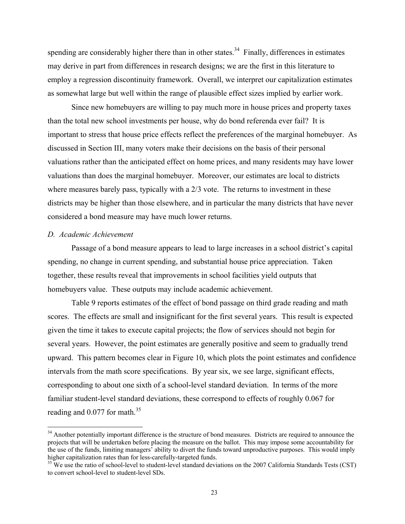spending are considerably higher there than in other states.<sup>34</sup> Finally, differences in estimates may derive in part from differences in research designs; we are the first in this literature to employ a regression discontinuity framework. Overall, we interpret our capitalization estimates as somewhat large but well within the range of plausible effect sizes implied by earlier work.

Since new homebuyers are willing to pay much more in house prices and property taxes than the total new school investments per house, why do bond referenda ever fail? It is important to stress that house price effects reflect the preferences of the marginal homebuyer. As discussed in Section III, many voters make their decisions on the basis of their personal valuations rather than the anticipated effect on home prices, and many residents may have lower valuations than does the marginal homebuyer. Moreover, our estimates are local to districts where measures barely pass, typically with a 2/3 vote. The returns to investment in these districts may be higher than those elsewhere, and in particular the many districts that have never considered a bond measure may have much lower returns.

## *D. Academic Achievement*

 $\overline{a}$ 

Passage of a bond measure appears to lead to large increases in a school district's capital spending, no change in current spending, and substantial house price appreciation. Taken together, these results reveal that improvements in school facilities yield outputs that homebuyers value. These outputs may include academic achievement.

Table 9 reports estimates of the effect of bond passage on third grade reading and math scores. The effects are small and insignificant for the first several years. This result is expected given the time it takes to execute capital projects; the flow of services should not begin for several years. However, the point estimates are generally positive and seem to gradually trend upward. This pattern becomes clear in Figure 10, which plots the point estimates and confidence intervals from the math score specifications. By year six, we see large, significant effects, corresponding to about one sixth of a school-level standard deviation. In terms of the more familiar student-level standard deviations, these correspond to effects of roughly 0.067 for reading and  $0.077$  for math.<sup>35</sup>

<sup>&</sup>lt;sup>34</sup> Another potentially important difference is the structure of bond measures. Districts are required to announce the projects that will be undertaken before placing the measure on the ballot. This may impose some accountability for the use of the funds, limiting managers' ability to divert the funds toward unproductive purposes. This would imply higher capitalization rates than for less-carefully-targeted funds.

 $\frac{35}{35}$  We use the ratio of school-level to student-level standard deviations on the 2007 California Standards Tests (CST) to convert school-level to student-level SDs.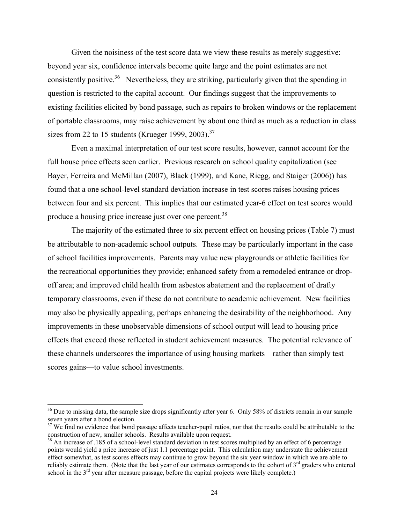Given the noisiness of the test score data we view these results as merely suggestive: beyond year six, confidence intervals become quite large and the point estimates are not consistently positive.<sup>36</sup> Nevertheless, they are striking, particularly given that the spending in question is restricted to the capital account. Our findings suggest that the improvements to existing facilities elicited by bond passage, such as repairs to broken windows or the replacement of portable classrooms, may raise achievement by about one third as much as a reduction in class sizes from 22 to 15 students (Krueger 1999, 2003).<sup>37</sup>

Even a maximal interpretation of our test score results, however, cannot account for the full house price effects seen earlier. Previous research on school quality capitalization (see Bayer, Ferreira and McMillan (2007), Black (1999), and Kane, Riegg, and Staiger (2006)) has found that a one school-level standard deviation increase in test scores raises housing prices between four and six percent. This implies that our estimated year-6 effect on test scores would produce a housing price increase just over one percent.38

The majority of the estimated three to six percent effect on housing prices (Table 7) must be attributable to non-academic school outputs. These may be particularly important in the case of school facilities improvements. Parents may value new playgrounds or athletic facilities for the recreational opportunities they provide; enhanced safety from a remodeled entrance or dropoff area; and improved child health from asbestos abatement and the replacement of drafty temporary classrooms, even if these do not contribute to academic achievement. New facilities may also be physically appealing, perhaps enhancing the desirability of the neighborhood. Any improvements in these unobservable dimensions of school output will lead to housing price effects that exceed those reflected in student achievement measures. The potential relevance of these channels underscores the importance of using housing markets—rather than simply test scores gains—to value school investments.

 $\overline{a}$ 

<sup>&</sup>lt;sup>36</sup> Due to missing data, the sample size drops significantly after year 6. Only 58% of districts remain in our sample seven years after a bond election.

 $37$  We find no evidence that bond passage affects teacher-pupil ratios, nor that the results could be attributable to the construction of new, smaller schools. Results available upon request.

 $38$  An increase of .185 of a school-level standard deviation in test scores multiplied by an effect of 6 percentage points would yield a price increase of just 1.1 percentage point. This calculation may understate the achievement effect somewhat, as test scores effects may continue to grow beyond the six year window in which we are able to reliably estimate them. (Note that the last year of our estimates corresponds to the cohort of  $3<sup>rd</sup>$  graders who entered school in the  $3<sup>rd</sup>$  year after measure passage, before the capital projects were likely complete.)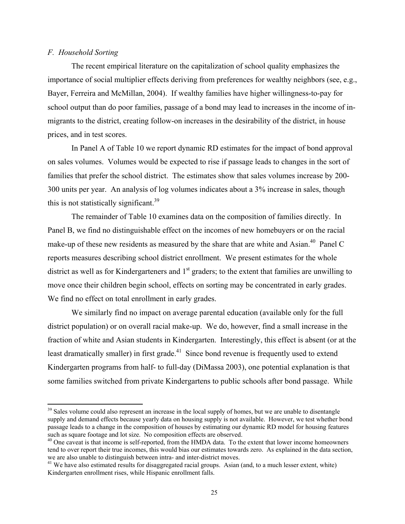# *F. Household Sorting*

 $\overline{a}$ 

The recent empirical literature on the capitalization of school quality emphasizes the importance of social multiplier effects deriving from preferences for wealthy neighbors (see, e.g., Bayer, Ferreira and McMillan, 2004). If wealthy families have higher willingness-to-pay for school output than do poor families, passage of a bond may lead to increases in the income of inmigrants to the district, creating follow-on increases in the desirability of the district, in house prices, and in test scores.

In Panel A of Table 10 we report dynamic RD estimates for the impact of bond approval on sales volumes. Volumes would be expected to rise if passage leads to changes in the sort of families that prefer the school district. The estimates show that sales volumes increase by 200- 300 units per year. An analysis of log volumes indicates about a 3% increase in sales, though this is not statistically significant.<sup>39</sup>

The remainder of Table 10 examines data on the composition of families directly. In Panel B, we find no distinguishable effect on the incomes of new homebuyers or on the racial make-up of these new residents as measured by the share that are white and Asian.<sup>40</sup> Panel C reports measures describing school district enrollment. We present estimates for the whole district as well as for Kindergarteners and  $1<sup>st</sup>$  graders; to the extent that families are unwilling to move once their children begin school, effects on sorting may be concentrated in early grades. We find no effect on total enrollment in early grades.

We similarly find no impact on average parental education (available only for the full district population) or on overall racial make-up. We do, however, find a small increase in the fraction of white and Asian students in Kindergarten. Interestingly, this effect is absent (or at the least dramatically smaller) in first grade.<sup>41</sup> Since bond revenue is frequently used to extend Kindergarten programs from half- to full-day (DiMassa 2003), one potential explanation is that some families switched from private Kindergartens to public schools after bond passage. While

<sup>&</sup>lt;sup>39</sup> Sales volume could also represent an increase in the local supply of homes, but we are unable to disentangle supply and demand effects because yearly data on housing supply is not available. However, we test whether bond passage leads to a change in the composition of houses by estimating our dynamic RD model for housing features such as square footage and lot size. No composition effects are observed.

<sup>&</sup>lt;sup>40</sup> One caveat is that income is self-reported, from the HMDA data. To the extent that lower income homeowners tend to over report their true incomes, this would bias our estimates towards zero. As explained in the data section, we are also unable to distinguish between intra- and inter-district moves.

<sup>&</sup>lt;sup>41</sup> We have also estimated results for disaggregated racial groups. Asian (and, to a much lesser extent, white) Kindergarten enrollment rises, while Hispanic enrollment falls.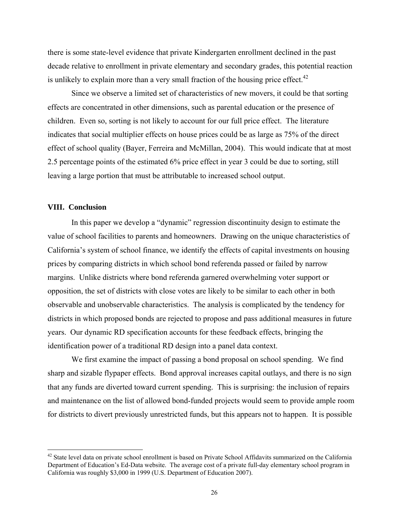there is some state-level evidence that private Kindergarten enrollment declined in the past decade relative to enrollment in private elementary and secondary grades, this potential reaction is unlikely to explain more than a very small fraction of the housing price effect. $42$ 

Since we observe a limited set of characteristics of new movers, it could be that sorting effects are concentrated in other dimensions, such as parental education or the presence of children. Even so, sorting is not likely to account for our full price effect. The literature indicates that social multiplier effects on house prices could be as large as 75% of the direct effect of school quality (Bayer, Ferreira and McMillan, 2004). This would indicate that at most 2.5 percentage points of the estimated 6% price effect in year 3 could be due to sorting, still leaving a large portion that must be attributable to increased school output.

## **VIII. Conclusion**

1

In this paper we develop a "dynamic" regression discontinuity design to estimate the value of school facilities to parents and homeowners. Drawing on the unique characteristics of California's system of school finance, we identify the effects of capital investments on housing prices by comparing districts in which school bond referenda passed or failed by narrow margins. Unlike districts where bond referenda garnered overwhelming voter support or opposition, the set of districts with close votes are likely to be similar to each other in both observable and unobservable characteristics. The analysis is complicated by the tendency for districts in which proposed bonds are rejected to propose and pass additional measures in future years. Our dynamic RD specification accounts for these feedback effects, bringing the identification power of a traditional RD design into a panel data context.

We first examine the impact of passing a bond proposal on school spending. We find sharp and sizable flypaper effects. Bond approval increases capital outlays, and there is no sign that any funds are diverted toward current spending. This is surprising: the inclusion of repairs and maintenance on the list of allowed bond-funded projects would seem to provide ample room for districts to divert previously unrestricted funds, but this appears not to happen. It is possible

 $42$  State level data on private school enrollment is based on Private School Affidavits summarized on the California Department of Education's Ed-Data website. The average cost of a private full-day elementary school program in California was roughly \$3,000 in 1999 (U.S. Department of Education 2007).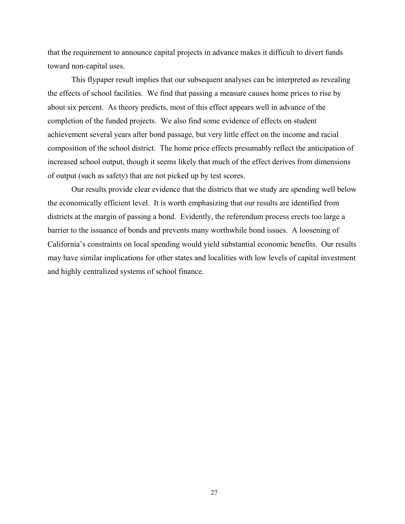that the requirement to announce capital projects in advance makes it difficult to divert funds toward non-capital uses.

This flypaper result implies that our subsequent analyses can be interpreted as revealing the effects of school facilities. We find that passing a measure causes home prices to rise by about six percent. As theory predicts, most of this effect appears well in advance of the completion of the funded projects. We also find some evidence of effects on student achievement several years after bond passage, but very little effect on the income and racial composition of the school district. The home price effects presumably reflect the anticipation of increased school output, though it seems likely that much of the effect derives from dimensions of output (such as safety) that are not picked up by test scores.

Our results provide clear evidence that the districts that we study are spending well below the economically efficient level. It is worth emphasizing that our results are identified from districts at the margin of passing a bond. Evidently, the referendum process erects too large a barrier to the issuance of bonds and prevents many worthwhile bond issues. A loosening of California's constraints on local spending would yield substantial economic benefits. Our results may have similar implications for other states and localities with low levels of capital investment and highly centralized systems of school finance.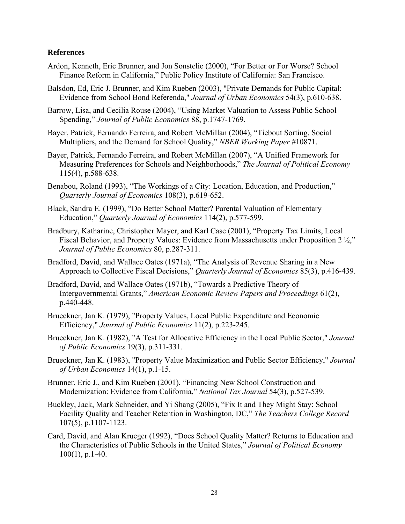# **References**

- Ardon, Kenneth, Eric Brunner, and Jon Sonstelie (2000), "For Better or For Worse? School Finance Reform in California," Public Policy Institute of California: San Francisco.
- Balsdon, Ed, Eric J. Brunner, and Kim Rueben (2003), "Private Demands for Public Capital: Evidence from School Bond Referenda," *Journal of Urban Economics* 54(3), p.610-638.
- Barrow, Lisa, and Cecilia Rouse (2004), "Using Market Valuation to Assess Public School Spending," *Journal of Public Economics* 88, p.1747-1769.
- Bayer, Patrick, Fernando Ferreira, and Robert McMillan (2004), "Tiebout Sorting, Social Multipliers, and the Demand for School Quality," *NBER Working Paper* #10871.
- Bayer, Patrick, Fernando Ferreira, and Robert McMillan (2007), "A Unified Framework for Measuring Preferences for Schools and Neighborhoods," *The Journal of Political Economy* 115(4), p.588-638.
- Benabou, Roland (1993), "The Workings of a City: Location, Education, and Production," *Quarterly Journal of Economics* 108(3), p.619-652.
- Black, Sandra E. (1999), "Do Better School Matter? Parental Valuation of Elementary Education," *Quarterly Journal of Economics* 114(2), p.577-599.
- Bradbury, Katharine, Christopher Mayer, and Karl Case (2001), "Property Tax Limits, Local Fiscal Behavior, and Property Values: Evidence from Massachusetts under Proposition 2 ½," *Journal of Public Economics* 80, p.287-311.
- Bradford, David, and Wallace Oates (1971a), "The Analysis of Revenue Sharing in a New Approach to Collective Fiscal Decisions," *Quarterly Journal of Economics* 85(3), p.416-439.
- Bradford, David, and Wallace Oates (1971b), "Towards a Predictive Theory of Intergovernmental Grants," *American Economic Review Papers and Proceedings* 61(2), p.440-448.
- Brueckner, Jan K. (1979), "Property Values, Local Public Expenditure and Economic Efficiency," *Journal of Public Economics* 11(2), p.223-245.
- Brueckner, Jan K. (1982), "A Test for Allocative Efficiency in the Local Public Sector," *Journal of Public Economics* 19(3), p.311-331.
- Brueckner, Jan K. (1983), "Property Value Maximization and Public Sector Efficiency," *Journal of Urban Economics* 14(1), p.1-15.
- Brunner, Eric J., and Kim Rueben (2001), "Financing New School Construction and Modernization: Evidence from California," *National Tax Journal* 54(3), p.527-539.
- Buckley, Jack, Mark Schneider, and Yi Shang (2005), "Fix It and They Might Stay: School Facility Quality and Teacher Retention in Washington, DC," *The Teachers College Record* 107(5), p.1107-1123.
- Card, David, and Alan Krueger (1992), "Does School Quality Matter? Returns to Education and the Characteristics of Public Schools in the United States," *Journal of Political Economy* 100(1), p.1-40.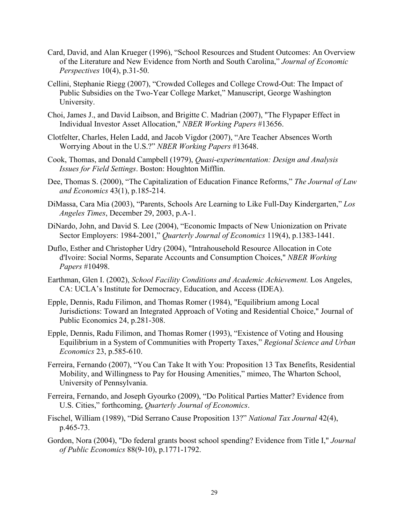- Card, David, and Alan Krueger (1996), "School Resources and Student Outcomes: An Overview of the Literature and New Evidence from North and South Carolina," *Journal of Economic Perspectives* 10(4), p.31-50.
- Cellini, Stephanie Riegg (2007), "Crowded Colleges and College Crowd-Out: The Impact of Public Subsidies on the Two-Year College Market," Manuscript, George Washington University.
- Choi, James J., and David Laibson, and Brigitte C. Madrian (2007), "The Flypaper Effect in Individual Investor Asset Allocation," *NBER Working Papers* #13656.
- Clotfelter, Charles, Helen Ladd, and Jacob Vigdor (2007), "Are Teacher Absences Worth Worrying About in the U.S.?" *NBER Working Papers* #13648.
- Cook, Thomas, and Donald Campbell (1979), *Quasi-experimentation: Design and Analysis Issues for Field Settings*. Boston: Houghton Mifflin.
- Dee, Thomas S. (2000), "The Capitalization of Education Finance Reforms," *The Journal of Law and Economics* 43(1), p.185-214.
- DiMassa, Cara Mia (2003), "Parents, Schools Are Learning to Like Full-Day Kindergarten," *Los Angeles Times*, December 29, 2003, p.A-1.
- DiNardo, John, and David S. Lee (2004), "Economic Impacts of New Unionization on Private Sector Employers: 1984-2001," *Quarterly Journal of Economics* 119(4), p.1383-1441.
- Duflo, Esther and Christopher Udry (2004), "Intrahousehold Resource Allocation in Cote d'Ivoire: Social Norms, Separate Accounts and Consumption Choices," *NBER Working Papers* #10498.
- Earthman, Glen I. (2002), *School Facility Conditions and Academic Achievement.* Los Angeles, CA: UCLA's Institute for Democracy, Education, and Access (IDEA).
- Epple, Dennis, Radu Filimon, and Thomas Romer (1984), "Equilibrium among Local Jurisdictions: Toward an Integrated Approach of Voting and Residential Choice," Journal of Public Economics 24, p.281-308.
- Epple, Dennis, Radu Filimon, and Thomas Romer (1993), "Existence of Voting and Housing Equilibrium in a System of Communities with Property Taxes," *Regional Science and Urban Economics* 23, p.585-610.
- Ferreira, Fernando (2007), "You Can Take It with You: Proposition 13 Tax Benefits, Residential Mobility, and Willingness to Pay for Housing Amenities," mimeo, The Wharton School, University of Pennsylvania.
- Ferreira, Fernando, and Joseph Gyourko (2009), "Do Political Parties Matter? Evidence from U.S. Cities," forthcoming, *Quarterly Journal of Economics*.
- Fischel, William (1989), "Did Serrano Cause Proposition 13?" *National Tax Journal* 42(4), p.465-73.
- Gordon, Nora (2004), "Do federal grants boost school spending? Evidence from Title I," *Journal of Public Economics* 88(9-10), p.1771-1792.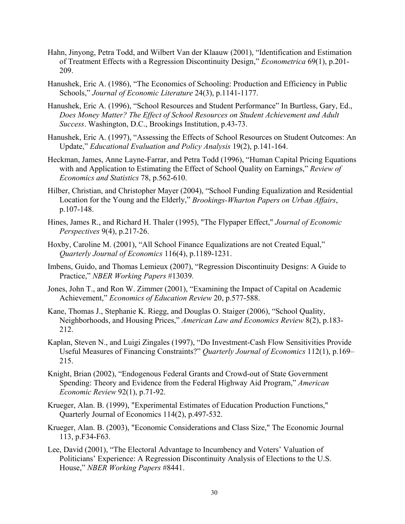- Hahn, Jinyong, Petra Todd, and Wilbert Van der Klaauw (2001), "Identification and Estimation of Treatment Effects with a Regression Discontinuity Design," *Econometrica* 69(1), p.201- 209.
- Hanushek, Eric A. (1986), "The Economics of Schooling: Production and Efficiency in Public Schools," *Journal of Economic Literature* 24(3), p.1141-1177.
- Hanushek, Eric A. (1996), "School Resources and Student Performance" In Burtless, Gary, Ed., *Does Money Matter? The Effect of School Resources on Student Achievement and Adult Success*. Washington, D.C., Brookings Institution, p.43-73.
- Hanushek, Eric A. (1997), "Assessing the Effects of School Resources on Student Outcomes: An Update," *Educational Evaluation and Policy Analysis* 19(2), p.141-164.
- Heckman, James, Anne Layne-Farrar, and Petra Todd (1996), "Human Capital Pricing Equations with and Application to Estimating the Effect of School Quality on Earnings," *Review of Economics and Statistics* 78, p.562-610.
- Hilber, Christian, and Christopher Mayer (2004), "School Funding Equalization and Residential Location for the Young and the Elderly," *Brookings-Wharton Papers on Urban Affairs*, p.107-148.
- Hines, James R., and Richard H. Thaler (1995), "The Flypaper Effect," *Journal of Economic Perspectives* 9(4), p.217-26.
- Hoxby, Caroline M. (2001), "All School Finance Equalizations are not Created Equal," *Quarterly Journal of Economics* 116(4), p.1189-1231.
- Imbens, Guido, and Thomas Lemieux (2007), "Regression Discontinuity Designs: A Guide to Practice," *NBER Working Papers* #13039*.*
- Jones, John T., and Ron W. Zimmer (2001), "Examining the Impact of Capital on Academic Achievement," *Economics of Education Review* 20, p.577-588.
- Kane, Thomas J., Stephanie K. Riegg, and Douglas O. Staiger (2006), "School Quality, Neighborhoods, and Housing Prices," *American Law and Economics Review* 8(2), p.183- 212.
- Kaplan, Steven N., and Luigi Zingales (1997), "Do Investment-Cash Flow Sensitivities Provide Useful Measures of Financing Constraints?" *Quarterly Journal of Economics* 112(1), p.169– 215.
- Knight, Brian (2002), "Endogenous Federal Grants and Crowd-out of State Government Spending: Theory and Evidence from the Federal Highway Aid Program," *American Economic Review* 92(1), p.71-92.
- Krueger, Alan. B. (1999), "Experimental Estimates of Education Production Functions," Quarterly Journal of Economics 114(2), p.497-532.
- Krueger, Alan. B. (2003), "Economic Considerations and Class Size," The Economic Journal 113, p.F34-F63.
- Lee, David (2001), "The Electoral Advantage to Incumbency and Voters' Valuation of Politicians' Experience: A Regression Discontinuity Analysis of Elections to the U.S. House," *NBER Working Papers* #8441.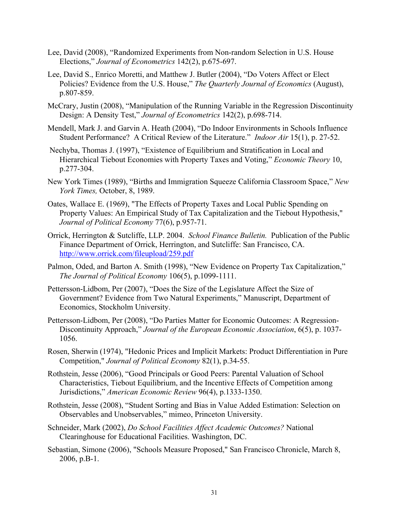- Lee, David (2008), "Randomized Experiments from Non-random Selection in U.S. House Elections," *Journal of Econometrics* 142(2), p.675-697.
- Lee, David S., Enrico Moretti, and Matthew J. Butler (2004), "Do Voters Affect or Elect Policies? Evidence from the U.S. House," *The Quarterly Journal of Economics* (August), p.807-859.
- McCrary, Justin (2008), "Manipulation of the Running Variable in the Regression Discontinuity Design: A Density Test," *Journal of Econometrics* 142(2), p.698-714.
- Mendell, Mark J. and Garvin A. Heath (2004), "Do Indoor Environments in Schools Influence Student Performance? A Critical Review of the Literature." *Indoor Air* 15(1), p. 27-52.
- Nechyba, Thomas J. (1997), "Existence of Equilibrium and Stratification in Local and Hierarchical Tiebout Economies with Property Taxes and Voting," *Economic Theory* 10, p.277-304.
- New York Times (1989), "Births and Immigration Squeeze California Classroom Space," *New York Times,* October, 8, 1989.
- Oates, Wallace E. (1969), "The Effects of Property Taxes and Local Public Spending on Property Values: An Empirical Study of Tax Capitalization and the Tiebout Hypothesis," *Journal of Political Economy* 77(6), p.957-71.
- Orrick, Herrington & Sutcliffe, LLP. 2004. *School Finance Bulletin.* Publication of the Public Finance Department of Orrick, Herrington, and Sutcliffe: San Francisco, CA. http://www.orrick.com/fileupload/259.pdf
- Palmon, Oded, and Barton A. Smith (1998), "New Evidence on Property Tax Capitalization," *The Journal of Political Economy* 106(5), p.1099-1111.
- Pettersson-Lidbom, Per (2007), "Does the Size of the Legislature Affect the Size of Government? Evidence from Two Natural Experiments," Manuscript, Department of Economics, Stockholm University.
- Pettersson-Lidbom, Per (2008), "Do Parties Matter for Economic Outcomes: A Regression-Discontinuity Approach," *Journal of the European Economic Association*, 6(5), p. 1037- 1056.
- Rosen, Sherwin (1974), "Hedonic Prices and Implicit Markets: Product Differentiation in Pure Competition," *Journal of Political Economy* 82(1), p.34-55.
- Rothstein, Jesse (2006), "Good Principals or Good Peers: Parental Valuation of School Characteristics, Tiebout Equilibrium, and the Incentive Effects of Competition among Jurisdictions," *American Economic Review* 96(4), p.1333-1350.
- Rothstein, Jesse (2008), "Student Sorting and Bias in Value Added Estimation: Selection on Observables and Unobservables," mimeo, Princeton University.
- Schneider, Mark (2002), *Do School Facilities Affect Academic Outcomes?* National Clearinghouse for Educational Facilities. Washington, DC.
- Sebastian, Simone (2006), "Schools Measure Proposed," San Francisco Chronicle, March 8, 2006, p.B-1.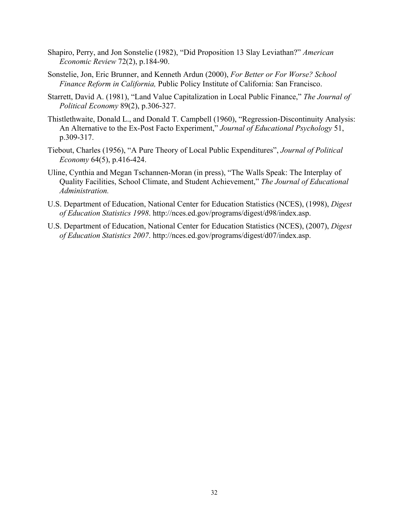- Shapiro, Perry, and Jon Sonstelie (1982), "Did Proposition 13 Slay Leviathan?" *American Economic Review* 72(2), p.184-90.
- Sonstelie, Jon, Eric Brunner, and Kenneth Ardun (2000), *For Better or For Worse? School Finance Reform in California,* Public Policy Institute of California: San Francisco.
- Starrett, David A. (1981), "Land Value Capitalization in Local Public Finance," *The Journal of Political Economy* 89(2), p.306-327.
- Thistlethwaite, Donald L., and Donald T. Campbell (1960), "Regression-Discontinuity Analysis: An Alternative to the Ex-Post Facto Experiment," *Journal of Educational Psychology* 51, p.309-317.
- Tiebout, Charles (1956), "A Pure Theory of Local Public Expenditures", *Journal of Political Economy* 64(5), p.416-424.
- Uline, Cynthia and Megan Tschannen-Moran (in press), "The Walls Speak: The Interplay of Quality Facilities, School Climate, and Student Achievement," *The Journal of Educational Administration.*
- U.S. Department of Education, National Center for Education Statistics (NCES), (1998), *Digest of Education Statistics 1998*. http://nces.ed.gov/programs/digest/d98/index.asp.
- U.S. Department of Education, National Center for Education Statistics (NCES), (2007), *Digest of Education Statistics 2007*. http://nces.ed.gov/programs/digest/d07/index.asp.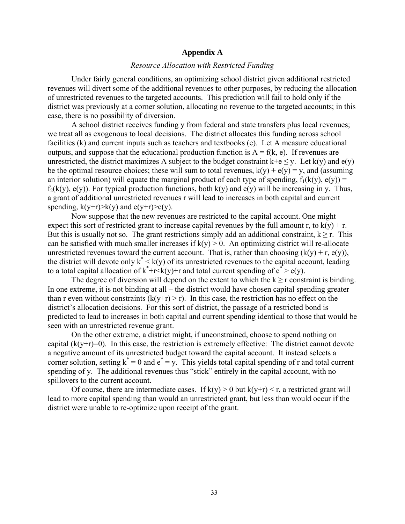#### **Appendix A**

# *Resource Allocation with Restricted Funding*

Under fairly general conditions, an optimizing school district given additional restricted revenues will divert some of the additional revenues to other purposes, by reducing the allocation of unrestricted revenues to the targeted accounts. This prediction will fail to hold only if the district was previously at a corner solution, allocating no revenue to the targeted accounts; in this case, there is no possibility of diversion.

A school district receives funding y from federal and state transfers plus local revenues; we treat all as exogenous to local decisions. The district allocates this funding across school facilities (k) and current inputs such as teachers and textbooks (e). Let A measure educational outputs, and suppose that the educational production function is  $A = f(k, e)$ . If revenues are unrestricted, the district maximizes A subject to the budget constraint  $k+e \le y$ . Let  $k(y)$  and  $e(y)$ be the optimal resource choices; these will sum to total revenues,  $k(y) + e(y) = y$ , and (assuming an interior solution) will equate the marginal product of each type of spending,  $f_1(k(y), e(y)) =$  $f_2(k(y), e(y))$ . For typical production functions, both  $k(y)$  and  $e(y)$  will be increasing in y. Thus, a grant of additional unrestricted revenues r will lead to increases in both capital and current spending,  $k(y+r)$  $\geq k(y)$  and  $e(y+r)$  $\geq e(y)$ .

Now suppose that the new revenues are restricted to the capital account. One might expect this sort of restricted grant to increase capital revenues by the full amount r, to  $k(y) + r$ . But this is usually not so. The grant restrictions simply add an additional constraint,  $k \ge r$ . This can be satisfied with much smaller increases if  $k(y) > 0$ . An optimizing district will re-allocate unrestricted revenues toward the current account. That is, rather than choosing  $(k(v) + r, e(v))$ , the district will devote only  $k^* < k(y)$  of its unrestricted revenues to the capital account, leading to a total capital allocation of  $k^*+r\leq k(y)+r$  and total current spending of  $e^* > e(y)$ .

The degree of diversion will depend on the extent to which the  $k \ge r$  constraint is binding. In one extreme, it is not binding at all – the district would have chosen capital spending greater than r even without constraints  $(k(y+r) > r)$ . In this case, the restriction has no effect on the district's allocation decisions. For this sort of district, the passage of a restricted bond is predicted to lead to increases in both capital and current spending identical to those that would be seen with an unrestricted revenue grant.

On the other extreme, a district might, if unconstrained, choose to spend nothing on capital  $(k(y+r)=0)$ . In this case, the restriction is extremely effective: The district cannot devote a negative amount of its unrestricted budget toward the capital account. It instead selects a corner solution, setting  $k^* = 0$  and  $e^* = y$ . This yields total capital spending of r and total current spending of y. The additional revenues thus "stick" entirely in the capital account, with no spillovers to the current account.

Of course, there are intermediate cases. If  $k(y) > 0$  but  $k(y+r) < r$ , a restricted grant will lead to more capital spending than would an unrestricted grant, but less than would occur if the district were unable to re-optimize upon receipt of the grant.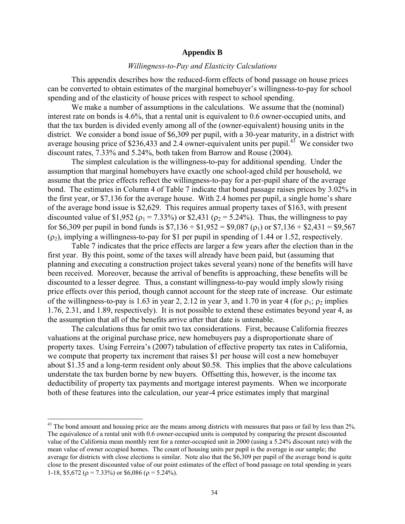## **Appendix B**

# *Willingness-to-Pay and Elasticity Calculations*

 This appendix describes how the reduced-form effects of bond passage on house prices can be converted to obtain estimates of the marginal homebuyer's willingness-to-pay for school spending and of the elasticity of house prices with respect to school spending.

 We make a number of assumptions in the calculations. We assume that the (nominal) interest rate on bonds is 4.6%, that a rental unit is equivalent to 0.6 owner-occupied units, and that the tax burden is divided evenly among all of the (owner-equivalent) housing units in the district. We consider a bond issue of \$6,309 per pupil, with a 30-year maturity, in a district with average housing price of \$236,433 and 2.4 owner-equivalent units per pupil.<sup>43</sup> We consider two discount rates, 7.33% and 5.24%, both taken from Barrow and Rouse (2004).

 The simplest calculation is the willingness-to-pay for additional spending. Under the assumption that marginal homebuyers have exactly one school-aged child per household, we assume that the price effects reflect the willingness-to-pay for a per-pupil share of the average bond. The estimates in Column 4 of Table 7 indicate that bond passage raises prices by 3.02% in the first year, or \$7,136 for the average house. With 2.4 homes per pupil, a single home's share of the average bond issue is \$2,629. This requires annual property taxes of \$163, with present discounted value of \$1,952 ( $\rho_1$  = 7.33%) or \$2,431 ( $\rho_2$  = 5.24%). Thus, the willingness to pay for \$6,309 per pupil in bond funds is  $$7,136 + $1,952 = $9,087$  ( $\rho_1$ ) or  $$7,136 + $2,431 = $9,567$  $(\rho_2)$ , implying a willingness-to-pay for \$1 per pupil in spending of 1.44 or 1.52, respectively.

 Table 7 indicates that the price effects are larger a few years after the election than in the first year. By this point, some of the taxes will already have been paid, but (assuming that planning and executing a construction project takes several years) none of the benefits will have been received. Moreover, because the arrival of benefits is approaching, these benefits will be discounted to a lesser degree. Thus, a constant willingness-to-pay would imply slowly rising price effects over this period, though cannot account for the steep rate of increase. Our estimate of the willingness-to-pay is 1.63 in year 2, 2.12 in year 3, and 1.70 in year 4 (for  $\rho_1$ ;  $\rho_2$  implies 1.76, 2.31, and 1.89, respectively). It is not possible to extend these estimates beyond year 4, as the assumption that all of the benefits arrive after that date is untenable.

 The calculations thus far omit two tax considerations. First, because California freezes valuations at the original purchase price, new homebuyers pay a disproportionate share of property taxes. Using Ferreira's (2007) tabulation of effective property tax rates in California, we compute that property tax increment that raises \$1 per house will cost a new homebuyer about \$1.35 and a long-term resident only about \$0.58. This implies that the above calculations understate the tax burden borne by new buyers. Offsetting this, however, is the income tax deductibility of property tax payments and mortgage interest payments. When we incorporate both of these features into the calculation, our year-4 price estimates imply that marginal

 $\overline{a}$ 

 $43$  The bond amount and housing price are the means among districts with measures that pass or fail by less than  $2\%$ . The equivalence of a rental unit with 0.6 owner-occupied units is computed by comparing the present discounted value of the California mean monthly rent for a renter-occupied unit in 2000 (using a 5.24% discount rate) with the mean value of owner occupied homes. The count of housing units per pupil is the average in our sample; the average for districts with close elections is similar. Note also that the \$6,309 per pupil of the average bond is quite close to the present discounted value of our point estimates of the effect of bond passage on total spending in years 1-18, \$5,672 ( $\rho = 7.33\%$ ) or \$6,086 ( $\rho = 5.24\%$ ).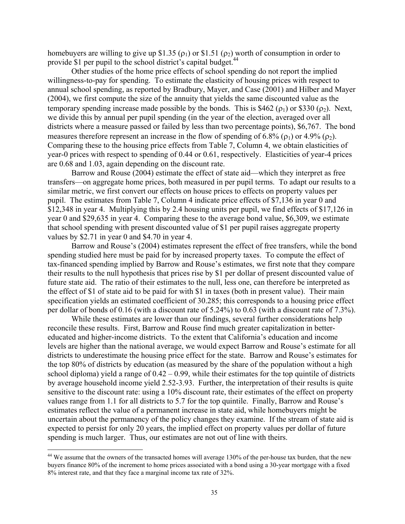homebuyers are willing to give up \$1.35 ( $\rho_1$ ) or \$1.51 ( $\rho_2$ ) worth of consumption in order to provide \$1 per pupil to the school district's capital budget.<sup>44</sup>

Other studies of the home price effects of school spending do not report the implied willingness-to-pay for spending. To estimate the elasticity of housing prices with respect to annual school spending, as reported by Bradbury, Mayer, and Case (2001) and Hilber and Mayer (2004), we first compute the size of the annuity that yields the same discounted value as the temporary spending increase made possible by the bonds. This is \$462 ( $\rho_1$ ) or \$330 ( $\rho_2$ ). Next, we divide this by annual per pupil spending (in the year of the election, averaged over all districts where a measure passed or failed by less than two percentage points), \$6,767. The bond measures therefore represent an increase in the flow of spending of 6.8% ( $\rho_1$ ) or 4.9% ( $\rho_2$ ). Comparing these to the housing price effects from Table 7, Column 4, we obtain elasticities of year-0 prices with respect to spending of 0.44 or 0.61, respectively. Elasticities of year-4 prices are 0.68 and 1.03, again depending on the discount rate.

Barrow and Rouse (2004) estimate the effect of state aid—which they interpret as free transfers—on aggregate home prices, both measured in per pupil terms. To adapt our results to a similar metric, we first convert our effects on house prices to effects on property values per pupil. The estimates from Table 7, Column 4 indicate price effects of \$7,136 in year 0 and \$12,348 in year 4. Multiplying this by 2.4 housing units per pupil, we find effects of \$17,126 in year 0 and \$29,635 in year 4. Comparing these to the average bond value, \$6,309, we estimate that school spending with present discounted value of \$1 per pupil raises aggregate property values by \$2.71 in year 0 and \$4.70 in year 4.

Barrow and Rouse's (2004) estimates represent the effect of free transfers, while the bond spending studied here must be paid for by increased property taxes. To compute the effect of tax-financed spending implied by Barrow and Rouse's estimates, we first note that they compare their results to the null hypothesis that prices rise by \$1 per dollar of present discounted value of future state aid. The ratio of their estimates to the null, less one, can therefore be interpreted as the effect of \$1 of state aid to be paid for with \$1 in taxes (both in present value). Their main specification yields an estimated coefficient of 30.285; this corresponds to a housing price effect per dollar of bonds of 0.16 (with a discount rate of 5.24%) to 0.63 (with a discount rate of 7.3%).

While these estimates are lower than our findings, several further considerations help reconcile these results. First, Barrow and Rouse find much greater capitalization in bettereducated and higher-income districts. To the extent that California's education and income levels are higher than the national average, we would expect Barrow and Rouse's estimate for all districts to underestimate the housing price effect for the state. Barrow and Rouse's estimates for the top 80% of districts by education (as measured by the share of the population without a high school diploma) yield a range of  $0.42 - 0.99$ , while their estimates for the top quintile of districts by average household income yield 2.52-3.93. Further, the interpretation of their results is quite sensitive to the discount rate: using a 10% discount rate, their estimates of the effect on property values range from 1.1 for all districts to 5.7 for the top quintile. Finally, Barrow and Rouse's estimates reflect the value of a permanent increase in state aid, while homebuyers might be uncertain about the permanency of the policy changes they examine. If the stream of state aid is expected to persist for only 20 years, the implied effect on property values per dollar of future spending is much larger. Thus, our estimates are not out of line with theirs.

 $\overline{a}$ 

<sup>&</sup>lt;sup>44</sup> We assume that the owners of the transacted homes will average 130% of the per-house tax burden, that the new buyers finance 80% of the increment to home prices associated with a bond using a 30-year mortgage with a fixed 8% interest rate, and that they face a marginal income tax rate of 32%.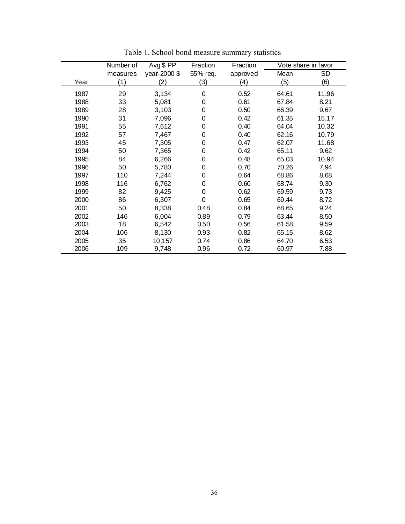|      | Number of | Avg \$ PP    | Fraction | Fraction |       | Vote share in favor |
|------|-----------|--------------|----------|----------|-------|---------------------|
|      | measures  | year-2000 \$ | 55% req. | approved | Mean  | <b>SD</b>           |
| Year | (1)       | (2)          | (3)      | (4)      | (5)   | (6)                 |
| 1987 | 29        | 3,134        | 0        | 0.52     | 64.61 | 11.96               |
| 1988 | 33        | 5,081        | 0        | 0.61     | 67.84 | 8.21                |
| 1989 | 28        | 3,103        | 0        | 0.50     | 66.39 | 9.67                |
| 1990 | 31        | 7,096        | 0        | 0.42     | 61.35 | 15.17               |
| 1991 | 55        | 7,612        | 0        | 0.40     | 64.04 | 10.32               |
| 1992 | 57        | 7,467        | 0        | 0.40     | 62.16 | 10.79               |
| 1993 | 45        | 7,305        | 0        | 0.47     | 62.07 | 11.68               |
| 1994 | 50        | 7,365        | 0        | 0.42     | 65.11 | 9.62                |
| 1995 | 84        | 6,266        | 0        | 0.48     | 65.03 | 10.94               |
| 1996 | 50        | 5,780        | 0        | 0.70     | 70.26 | 7.94                |
| 1997 | 110       | 7,244        | 0        | 0.64     | 68.86 | 8.68                |
| 1998 | 116       | 6,762        | 0        | 0.60     | 68.74 | 9.30                |
| 1999 | 82        | 9,425        | 0        | 0.62     | 69.59 | 9.73                |
| 2000 | 86        | 6,307        | 0        | 0.65     | 69.44 | 8.72                |
| 2001 | 50        | 8,338        | 0.48     | 0.84     | 68.65 | 9.24                |
| 2002 | 146       | 6,004        | 0.89     | 0.79     | 63.44 | 8.50                |
| 2003 | 18        | 6,542        | 0.50     | 0.56     | 61.58 | 9.59                |
| 2004 | 106       | 8,130        | 0.93     | 0.82     | 65.15 | 8.62                |
| 2005 | 35        | 10,157       | 0.74     | 0.86     | 64.70 | 6.53                |
| 2006 | 109       | 9,748        | 0.96     | 0.72     | 60.97 | 7.88                |

Table 1. School bond measure summary statistics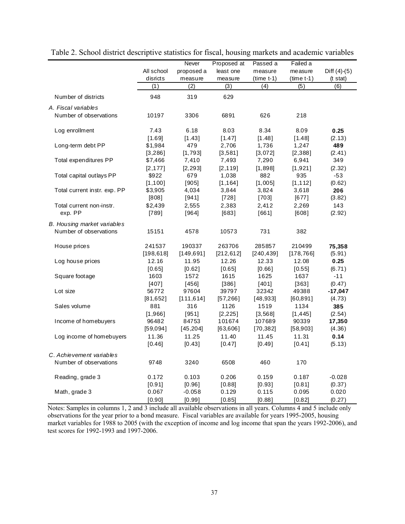|                                    |            | Never      | Proposed at | Passed a     | Failed a     |                    |
|------------------------------------|------------|------------|-------------|--------------|--------------|--------------------|
|                                    | All school | proposed a | least one   | measure      | measure      | Diff $(4)-(5)$     |
|                                    | disricts   | measure    | measure     | $(time t-1)$ | $(time t-1)$ | $(t \text{ stat})$ |
|                                    | (1)        | (2)        | (3)         | (4)          | (5)          | (6)                |
| Number of districts                | 948        | 319        | 629         |              |              |                    |
| A. Fiscal variables                |            |            |             |              |              |                    |
| Number of observations             | 10197      | 3306       | 6891        | 626          | 218          |                    |
| Log enrollment                     | 7.43       | 6.18       | 8.03        | 8.34         | 8.09         | 0.25               |
|                                    | [1.69]     | [1.43]     | [1.47]      | [1.48]       | [1.48]       | (2.13)             |
| Long-term debt PP                  | \$1,984    | 479        | 2,706       | 1,736        | 1,247        | 489                |
|                                    | [3, 286]   | [1, 793]   | [3,581]     | [3,072]      | [2,388]      | (2.41)             |
| Total expenditures PP              | \$7,466    | 7,410      | 7,493       | 7,290        | 6,941        | 349                |
|                                    | [2, 177]   | [2, 293]   | [2, 119]    | [1,898]      | [1,921]      | (2.32)             |
| Total capital outlays PP           | \$922      | 679        | 1,038       | 882          | 935          | $-53$              |
|                                    | [1, 100]   | [905]      | [1, 164]    | [1,005]      | [1, 112]     | (0.62)             |
| Total current instr. exp. PP       | \$3,905    | 4,034      | 3,844       | 3,824        | 3,618        | 206                |
|                                    | [808]      | [941]      | $[728]$     | $[703]$      | $[677]$      | (3.82)             |
| Total current non-instr.           | \$2,439    | 2,555      | 2,383       | 2,412        | 2,269        | 143                |
| exp. PP                            | [789]      | [964]      | $[683]$     | [661]        | [608]        | (2.92)             |
| <b>B.</b> Housing market variables |            |            |             |              |              |                    |
| Number of observations             | 15151      | 4578       | 10573       | 731          | 382          |                    |
| House prices                       | 241537     | 190337     | 263706      | 285857       | 210499       | 75,358             |
|                                    | [198, 618] | [149, 691] | [212, 612]  | [240, 439]   | [178, 766]   | (5.91)             |
| Log house prices                   | 12.16      | 11.95      | 12.26       | 12.33        | 12.08        | 0.25               |
|                                    | [0.65]     | [0.62]     | [0.65]      | [0.66]       | [0.55]       | (6.71)             |
| Square footage                     | 1603       | 1572       | 1615        | 1625         | 1637         | $-11$              |
|                                    | [407]      | [456]      | [386]       | [401]        | [363]        | (0.47)             |
| Lot size                           | 56772      | 97604      | 39797       | 32342        | 49388        | $-17,047$          |
|                                    | [81, 652]  | [111, 614] | [57, 266]   | [48, 933]    | [60, 891]    | (4.73)             |
| Sales volume                       | 881        | 316        | 1126        | 1519         | 1134         | 385                |
|                                    | [1,966]    | [951]      | [2, 225]    | [3, 568]     | [1, 445]     | (2.54)             |
| Income of homebuyers               | 96482      | 84753      | 101674      | 107689       | 90339        | 17,350             |
|                                    | [59,094]   | [45, 204]  | [63,606]    | [70, 382]    | [58,903]     | (4.36)             |
| Log income of homebuyers           | 11.36      | 11.25      | 11.40       | 11.45        | 11.31        | 0.14               |
|                                    | [0.46]     | [0.43]     | [0.47]      | [0.49]       | [0.41]       | (5.13)             |
| C. Achievement variables           |            |            |             |              |              |                    |
| Number of observations             | 9748       | 3240       | 6508        | 460          | 170          |                    |
|                                    |            |            |             |              |              |                    |
| Reading, grade 3                   | 0.172      | 0.103      | 0.206       | 0.159        | 0.187        | $-0.028$           |
|                                    | [0.91]     | [0.96]     | [0.88]      | [0.93]       | [0.81]       | (0.37)             |
| Math, grade 3                      | 0.067      | $-0.058$   | 0.129       | 0.115        | 0.095        | 0.020              |
|                                    | [0.90]     | [0.99]     | [0.85]      | [0.88]       | [0.82]       | (0.27)             |

Table 2. School district descriptive statistics for fiscal, housing markets and academic variables

Notes: Samples in columns 1, 2 and 3 include all available observations in all years. Columns 4 and 5 include only observations for the year prior to a bond measure. Fiscal variables are available for years 1995-2005, housing market variables for 1988 to 2005 (with the exception of income and log income that span the years 1992-2006), and test scores for 1992-1993 and 1997-2006.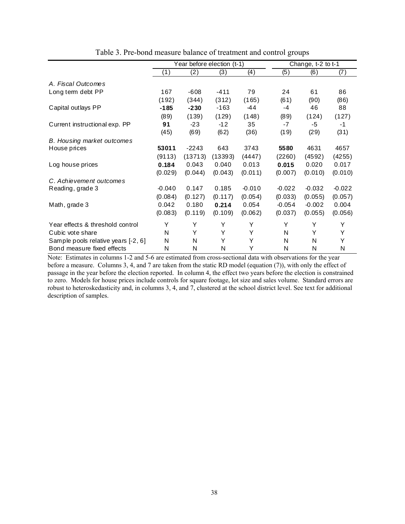|                                     | Year before election (t-1) |         |         |          |          | Change, t-2 to t-1 |          |
|-------------------------------------|----------------------------|---------|---------|----------|----------|--------------------|----------|
|                                     | (1)                        | (2)     | (3)     | (4)      | (5)      | (6)                | (7)      |
| A. Fiscal Outcomes                  |                            |         |         |          |          |                    |          |
| Long term debt PP                   | 167                        | $-608$  | $-411$  | 79       | 24       | 61                 | 86       |
|                                     | (192)                      | (344)   | (312)   | (165)    | (61)     | (90)               | (86)     |
| Capital outlays PP                  | $-185$                     | $-230$  | $-163$  | $-44$    | $-4$     | 46                 | 88       |
|                                     | (89)                       | (139)   | (129)   | (148)    | (89)     | (124)              | (127)    |
| Current instructional exp. PP       | 91                         | $-23$   | $-12$   | 35       | $-7$     | -5                 | -1       |
|                                     | (45)                       | (69)    | (62)    | (36)     | (19)     | (29)               | (31)     |
| <b>B.</b> Housing market outcomes   |                            |         |         |          |          |                    |          |
| House prices                        | 53011                      | $-2243$ | 643     | 3743     | 5580     | 4631               | 4657     |
|                                     | (9113)                     | (13713) | (13393) | (4447)   | (2260)   | (4592)             | (4255)   |
| Log house prices                    | 0.184                      | 0.043   | 0.040   | 0.013    | 0.015    | 0.020              | 0.017    |
|                                     | (0.029)                    | (0.044) | (0.043) | (0.011)  | (0.007)  | (0.010)            | (0.010)  |
| C. Achievement outcomes             |                            |         |         |          |          |                    |          |
| Reading, grade 3                    | $-0.040$                   | 0.147   | 0.185   | $-0.010$ | $-0.022$ | $-0.032$           | $-0.022$ |
|                                     | (0.084)                    | (0.127) | (0.117) | (0.054)  | (0.033)  | (0.055)            | (0.057)  |
| Math, grade 3                       | 0.042                      | 0.180   | 0.214   | 0.054    | $-0.054$ | $-0.002$           | 0.004    |
|                                     | (0.083)                    | (0.119) | (0.109) | (0.062)  | (0.037)  | (0.055)            | (0.056)  |
| Year effects & threshold control    | Y                          | Υ       | Υ       | Y        | Υ        | Υ                  | Y        |
| Cubic vote share                    | N                          | Y       | Y       | Y        | N        | Y                  | Υ        |
| Sample pools relative years [-2, 6] | N                          | N       | Y       | Y        | N        | N                  | Y        |
| Bond measure fixed effects          | N                          | N       | N       | Y        | N        | N                  | N        |

Table 3. Pre-bond measure balance of treatment and control groups

Note: Estimates in columns 1-2 and 5-6 are estimated from cross-sectional data with observations for the year before a measure. Columns 3, 4, and 7 are taken from the static RD model (equation (7)), with only the effect of passage in the year before the election reported. In column 4, the effect two years before the election is constrained to zero. Models for house prices include controls for square footage, lot size and sales volume. Standard errors are robust to heteroskedasticity and, in columns 3, 4, and 7, clustered at the school district level. See text for additional description of samples.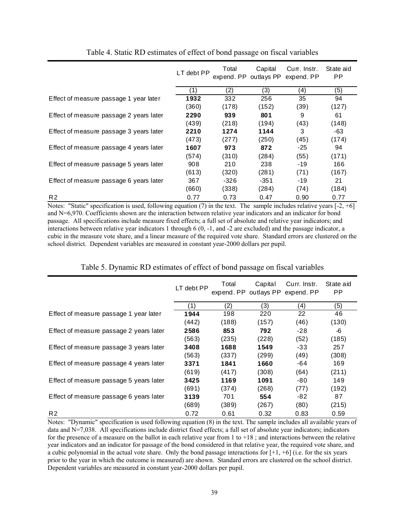|                                         | LT debt PP | Total<br>expend. PP | Capital<br>outlays PP | Curr. Instr.<br>expend. PP | State aid<br><b>PP</b> |
|-----------------------------------------|------------|---------------------|-----------------------|----------------------------|------------------------|
|                                         | (1)        | (2)                 | (3)                   | (4)                        | (5)                    |
| Effect of measure passage 1 year later  | 1932       | 332                 | 256                   | 35                         | 94                     |
|                                         | (360)      | (178)               | (152)                 | (39)                       | (127)                  |
| Effect of measure passage 2 years later | 2290       | 939                 | 801                   | 9                          | 61                     |
|                                         | (439)      | (218)               | (194)                 | (43)                       | (148)                  |
| Effect of measure passage 3 years later | 2210       | 1274                | 1144                  | 3                          | -63                    |
|                                         | (473)      | (277)               | (250)                 | (45)                       | (174)                  |
| Effect of measure passage 4 years later | 1607       | 973                 | 872                   | $-25$                      | 94                     |
|                                         | (574)      | (310)               | (284)                 | (55)                       | (171)                  |
| Effect of measure passage 5 years later | 908        | 210                 | 238                   | -19                        | 166                    |
|                                         | (613)      | (320)               | (281)                 | (71)                       | (167)                  |
| Effect of measure passage 6 years later | 367        | -326                | $-351$                | -19                        | 21                     |
|                                         | (660)      | (338)               | (284)                 | (74)                       | (184)                  |
| R <sub>2</sub>                          | 0.77       | 0.73                | 0.47                  | 0.90                       | 0.77                   |

Table 4. Static RD estimates of effect of bond passage on fiscal variables

Notes: "Static" specification is used, following equation (7) in the text. The sample includes relative years  $[-2, +6]$ and N=6,970. Coefficients shown are the interaction between relative year indicators and an indicator for bond passage. All specifications include measure fixed effects; a full set of absolute and relative year indicators; and interactions between relative year indicators 1 through 6 (0, -1, and -2 are excluded) and the passage indicator, a cubic in the measure vote share, and a linear measure of the required vote share. Standard errors are clustered on the school district. Dependent variables are measured in constant year-2000 dollars per pupil.

|  |  | Table 5. Dynamic RD estimates of effect of bond passage on fiscal variables |  |  |  |
|--|--|-----------------------------------------------------------------------------|--|--|--|
|  |  |                                                                             |  |  |  |
|  |  |                                                                             |  |  |  |
|  |  |                                                                             |  |  |  |

|                                         | LT debt PP | Total<br>expend. PP outlays PP expend. PP | Capital | Curr. Instr. | State aid<br><b>PP</b> |
|-----------------------------------------|------------|-------------------------------------------|---------|--------------|------------------------|
|                                         | (1)        | (2)                                       | (3)     | (4)          | (5)                    |
| Effect of measure passage 1 year later  | 1944       | 198                                       | 220     | 22           | 46                     |
|                                         | (442)      | (188)                                     | (157)   | (46)         | (130)                  |
| Effect of measure passage 2 years later | 2586       | 853                                       | 792     | -28          | -6                     |
|                                         | (563)      | (235)                                     | (228)   | (52)         | (185)                  |
| Effect of measure passage 3 years later | 3408       | 1688                                      | 1549    | -33          | 257                    |
|                                         | (563)      | (337)                                     | (299)   | (49)         | (308)                  |
| Effect of measure passage 4 years later | 3371       | 1841                                      | 1660    | -64          | 169                    |
|                                         | (619)      | (417)                                     | (308)   | (64)         | (211)                  |
| Effect of measure passage 5 years later | 3425       | 1169                                      | 1091    | -80          | 149                    |
|                                         | (691)      | (374)                                     | (268)   | (77)         | (192)                  |
| Effect of measure passage 6 years later | 3139       | 701                                       | 554     | -82          | 87                     |
|                                         | (689)      | (389)                                     | (267)   | (80)         | (215)                  |
| R <sub>2</sub>                          | 0.72       | 0.61                                      | 0.32    | 0.83         | 0.59                   |

Notes: "Dynamic" specification is used following equation (8) in the text. The sample includes all available years of data and N=7,038. All specifications include district fixed effects; a full set of absolute year indicators; indicators for the presence of a measure on the ballot in each relative year from  $1$  to  $+18$ ; and interactions between the relative year indicators and an indicator for passage of the bond considered in that relative year, the required vote share, and a cubic polynomial in the actual vote share. Only the bond passage interactions for  $[+1, +6]$  (i.e. for the six years prior to the year in which the outcome is measured) are shown. Standard errors are clustered on the school district. Dependent variables are measured in constant year-2000 dollars per pupil.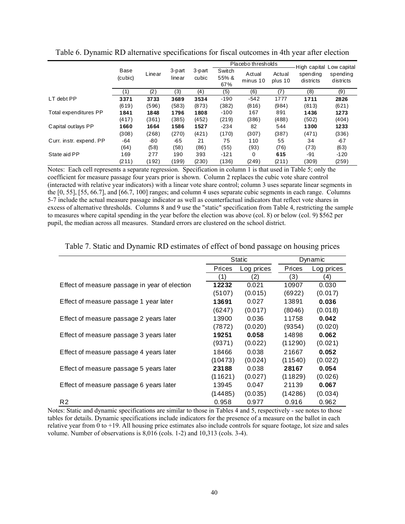|                         |                 |        |                  |                 | Placebo thresholds     |                    |                   | High capital Low capital |                       |  |
|-------------------------|-----------------|--------|------------------|-----------------|------------------------|--------------------|-------------------|--------------------------|-----------------------|--|
|                         | Base<br>(cubic) | Linear | 3-part<br>linear | 3-part<br>cubic | Switch<br>55% &<br>67% | Actual<br>minus 10 | Actual<br>plus 10 | spending<br>districts    | spending<br>districts |  |
|                         | (1)             | (2)    | (3)              | (4)             | (5)                    | (6)                | (7)               | (8)                      | (9)                   |  |
| LT debt PP              | 3371            | 3733   | 3689             | 3534            | $-190$                 | $-542$             | 1777              | 1711                     | 2826                  |  |
|                         | (619)           | (596)  | (583)            | (873)           | (382)                  | (816)              | (984)             | (813)                    | (621)                 |  |
| Total expenditures PP   | 1841            | 1848   | 1796             | 1808            | $-100$                 | 167                | 891               | 1436                     | 1273                  |  |
|                         | (417)           | (361)  | (385)            | (452)           | (219)                  | (386)              | (488)             | (502)                    | (404)                 |  |
| Capital outlays PP      | 1660            | 1664   | 1586             | 1527            | $-234$                 | 82                 | 544               | 1300                     | 1233                  |  |
|                         | (308)           | (268)  | (270)            | (421)           | (170)                  | (307)              | (387)             | (471)                    | (336)                 |  |
| Curr. instr. expend. PP | -64             | -80    | -65              | 21              | 75                     | 110                | 55                | 34                       | -67                   |  |
|                         | (64)            | (58)   | (58)             | (86)            | (55)                   | (93)               | (76)              | (73)                     | (63)                  |  |
| State aid PP            | 169             | 277    | 190              | 393             | $-121$                 | 0                  | 615               | -91                      | $-120$                |  |
|                         | (211)           | (192)  | (199)            | (230)           | (136)                  | (249)              | (211)             | (309)                    | (259)                 |  |

Table 6. Dynamic RD alternative specifications for fiscal outcomes in 4th year after election

Notes: Each cell represents a separate regression. Specification in column 1 is that used in Table 5; only the coefficient for measure passage four years prior is shown. Column 2 replaces the cubic vote share control (interacted with relative year indicators) with a linear vote share control; column 3 uses separate linear segments in the [0, 55], [55, 66.7], and [66.7, 100] ranges; and column 4 uses separate cubic segments in each range. Columns 5-7 include the actual measure passage indicator as well as counterfactual indicators that reflect vote shares in excess of alternative thresholds. Columns 8 and 9 use the "static" specification from Table 4, restricting the sample to measures where capital spending in the year before the election was above (col. 8) or below (col. 9) \$562 per pupil, the median across all measures. Standard errors are clustered on the school district.

|                                               |               | Static            |               | Dynamic    |
|-----------------------------------------------|---------------|-------------------|---------------|------------|
|                                               | <b>Prices</b> | Log prices        | <b>Prices</b> | Log prices |
|                                               | (1)           | $\left( 2\right)$ | (3)           | (4)        |
| Effect of measure passage in year of election | 12232         | 0.021             | 10907         | 0.030      |
|                                               | (5107)        | (0.015)           | (6922)        | (0.017)    |
| Effect of measure passage 1 year later        | 13691         | 0.027             | 13891         | 0.036      |
|                                               | (6247)        | (0.017)           | (8046)        | (0.018)    |
| Effect of measure passage 2 years later       | 13900         | 0.036             | 11758         | 0.042      |
|                                               | (7872)        | (0.020)           | (9354)        | (0.020)    |
| Effect of measure passage 3 years later       | 19251         | 0.058             | 14898         | 0.062      |
|                                               | (9371)        | (0.022)           | (11290)       | (0.021)    |
| Effect of measure passage 4 years later       | 18466         | 0.038             | 21667         | 0.052      |
|                                               | (10473)       | (0.024)           | (11540)       | (0.022)    |
| Effect of measure passage 5 years later       | 23188         | 0.038             | 28167         | 0.054      |
|                                               | (11621)       | (0.027)           | (11829)       | (0.026)    |
| Effect of measure passage 6 years later       | 13945         | 0.047             | 21139         | 0.067      |
|                                               | (14485)       | (0.035)           | (14286)       | (0.034)    |
| R <sub>2</sub>                                | 0.958         | 0.977             | 0.916         | 0.962      |

Table 7. Static and Dynamic RD estimates of effect of bond passage on housing prices

Notes: Static and dynamic specifications are similar to those in Tables 4 and 5, respectively - see notes to those tables for details. Dynamic specifications include indicators for the presence of a measure on the ballot in each relative year from 0 to +19. All housing price estimates also include controls for square footage, lot size and sales volume. Number of observations is 8,016 (cols. 1-2) and 10,313 (cols. 3-4).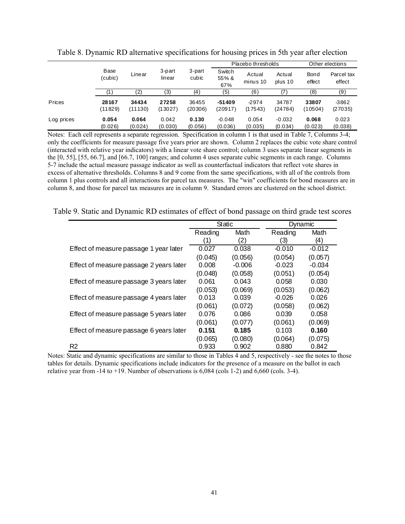|            |                  |                  |                  | 3-part<br>cubic  |                        | Placebo thresholds | Other elections     |                       |                      |
|------------|------------------|------------------|------------------|------------------|------------------------|--------------------|---------------------|-----------------------|----------------------|
|            | Base<br>(cubic)  | ∟inear           | 3-part<br>linear |                  | Switch<br>55% &<br>67% | Actual<br>minus 10 | Actual<br>plus 10   | <b>Bond</b><br>effect | Parcel tax<br>effect |
|            |                  | (2)              | (3)              | (4)              | (5)                    | (6)                | 17                  | (8)                   | (9)                  |
| Prices     | 28167<br>(11829) | 34434<br>(11130) | 27258<br>(13027) | 36455<br>(20306) | $-51409$<br>(20917)    | $-2974$<br>(17543) | 34787<br>(24784)    | 33807<br>(10504)      | $-3862$<br>(27035)   |
| Log prices | 0.054<br>(0.026) | 0.064<br>(0.024) | 0.042<br>(0.030) | 0.130<br>(0.056) | $-0.048$<br>(0.036)    | 0.054<br>(0.035)   | $-0.032$<br>(0.034) | 0.068<br>(0.023)      | 0.023<br>(0.038)     |

Table 8. Dynamic RD alternative specifications for housing prices in 5th year after election

Notes: Each cell represents a separate regression. Specification in column 1 is that used in Table 7, Columns 3-4; only the coefficients for measure passage five years prior are shown. Column 2 replaces the cubic vote share control (interacted with relative year indicators) with a linear vote share control; column 3 uses separate linear segments in the [0, 55], [55, 66.7], and [66.7, 100] ranges; and column 4 uses separate cubic segments in each range. Columns 5-7 include the actual measure passage indicator as well as counterfactual indicators that reflect vote shares in excess of alternative thresholds. Columns 8 and 9 come from the same specifications, with all of the controls from column 1 plus controls and all interactions for parcel tax measures. The "win" coefficients for bond measures are in column 8, and those for parcel tax measures are in column 9. Standard errors are clustered on the school district.

Table 9. Static and Dynamic RD estimates of effect of bond passage on third grade test scores

|                                         | Static  |          | Dynamic  |          |
|-----------------------------------------|---------|----------|----------|----------|
|                                         | Reading | Math     | Reading  | Math     |
|                                         | (1)     | (2)      | (3)      | (4)      |
| Effect of measure passage 1 year later  | 0.027   | 0.038    | $-0.010$ | $-0.012$ |
|                                         | (0.045) | (0.056)  | (0.054)  | (0.057)  |
| Effect of measure passage 2 years later | 0.008   | $-0.006$ | $-0.023$ | $-0.034$ |
|                                         | (0.048) | (0.058)  | (0.051)  | (0.054)  |
| Effect of measure passage 3 years later | 0.061   | 0.043    | 0.058    | 0.030    |
|                                         | (0.053) | (0.069)  | (0.053)  | (0.062)  |
| Effect of measure passage 4 years later | 0.013   | 0.039    | $-0.026$ | 0.026    |
|                                         | (0.061) | (0.072)  | (0.058)  | (0.062)  |
| Effect of measure passage 5 years later | 0.076   | 0.086    | 0.039    | 0.058    |
|                                         | (0.061) | (0.077)  | (0.061)  | (0.069)  |
| Effect of measure passage 6 years later | 0.151   | 0.185    | 0.103    | 0.160    |
|                                         | (0.065) | (0.080)  | (0.064)  | (0.075)  |
| R <sub>2</sub>                          | 0.933   | 0.902    | 0.880    | 0.842    |

Notes: Static and dynamic specifications are similar to those in Tables 4 and 5, respectively - see the notes to those tables for details. Dynamic specifications include indicators for the presence of a measure on the ballot in each relative year from -14 to +19. Number of observations is 6,084 (cols 1-2) and 6,660 (cols. 3-4).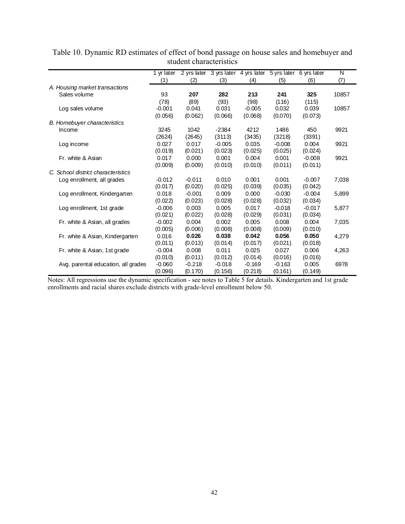|                                     | 1 yr later |          | 2 yrs later 3 yrs later 4 yrs later |          |          | 5 yrs later 6 yrs later | N     |
|-------------------------------------|------------|----------|-------------------------------------|----------|----------|-------------------------|-------|
|                                     | (1)        | (2)      | (3)                                 | (4)      | (5)      | (6)                     | (7)   |
| A. Housing market transactions      |            |          |                                     |          |          |                         |       |
| Sales volume                        | 93         | 207      | 282                                 | 213      | 241      | 325                     | 10857 |
|                                     | (78)       | (89)     | (93)                                | (98)     | (116)    | (115)                   |       |
| Log sales volume                    | $-0.001$   | 0.041    | 0.031                               | $-0.005$ | 0.032    | 0.039                   | 10857 |
|                                     | (0.056)    | (0.062)  | (0.066)                             | (0.068)  | (0.070)  | (0.073)                 |       |
| <b>B.</b> Homebuyer characteristics |            |          |                                     |          |          |                         |       |
| Income                              | 3245       | 1042     | $-2384$                             | 4212     | 1486     | 450                     | 9921  |
|                                     | (2624)     | (2645)   | (3113)                              | (3435)   | (3218)   | (3391)                  |       |
| Log income                          | 0.027      | 0.017    | $-0.005$                            | 0.035    | $-0.008$ | 0.004                   | 9921  |
|                                     | (0.019)    | (0.021)  | (0.023)                             | (0.025)  | (0.025)  | (0.024)                 |       |
| Fr. white & Asian                   | 0.017      | 0.000    | 0.001                               | 0.004    | 0.001    | $-0.008$                | 9921  |
|                                     | (0.009)    | (0.009)  | (0.010)                             | (0.010)  | (0.011)  | (0.011)                 |       |
| C. School district characteristics  |            |          |                                     |          |          |                         |       |
| Log enrollment, all grades          | $-0.012$   | $-0.011$ | 0.010                               | 0.001    | 0.001    | $-0.007$                | 7,038 |
|                                     | (0.017)    | (0.020)  | (0.025)                             | (0.039)  | (0.035)  | (0.042)                 |       |
| Log enrollment, Kindergarten        | 0.018      | $-0.001$ | 0.009                               | 0.000    | $-0.030$ | $-0.004$                | 5,899 |
|                                     | (0.022)    | (0.023)  | (0.028)                             | (0.028)  | (0.032)  | (0.034)                 |       |
| Log enrollment, 1st grade           | $-0.006$   | 0.003    | 0.005                               | 0.017    | $-0.018$ | $-0.017$                | 5,877 |
|                                     | (0.021)    | (0.022)  | (0.028)                             | (0.029)  | (0.031)  | (0.034)                 |       |
| Fr. white & Asian, all grades       | $-0.002$   | 0.004    | 0.002                               | 0.005    | 0.008    | 0.004                   | 7,035 |
|                                     | (0.005)    | (0.006)  | (0.008)                             | (0.008)  | (0.009)  | (0.010)                 |       |
| Fr. white & Asian, Kindergarten     | 0.016      | 0.026    | 0.038                               | 0.042    | 0.056    | 0.050                   | 4,279 |
|                                     | (0.011)    | (0.013)  | (0.014)                             | (0.017)  | (0.021)  | (0.018)                 |       |
| Fr. white & Asian, 1st grade        | $-0.004$   | 0.008    | 0.011                               | 0.025    | 0.027    | 0.006                   | 4,263 |
|                                     | (0.010)    | (0.011)  | (0.012)                             | (0.014)  | (0.016)  | (0.016)                 |       |
| Avg. parental education, all grades | $-0.060$   | $-0.218$ | $-0.018$                            | $-0.169$ | $-0.163$ | 0.005                   | 6978  |
|                                     | (0.096)    | (0.170)  | (0.156)                             | (0.218)  | (0.161)  | (0.149)                 |       |

Table 10. Dynamic RD estimates of effect of bond passage on house sales and homebuyer and student characteristics

Notes: All regressions use the dynamic specification - see notes to Table 5 for details. Kindergarten and 1st grade enrollments and racial shares exclude districts with grade-level enrollment below 50.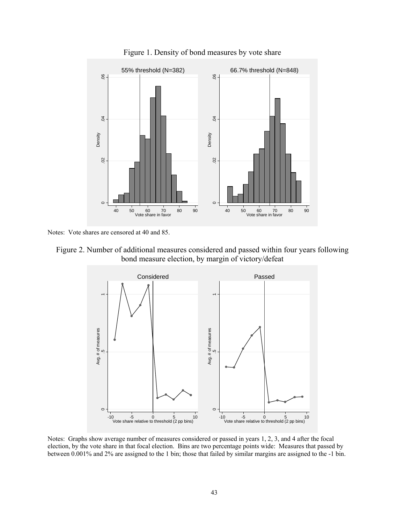

Figure 1. Density of bond measures by vote share

Notes: Vote shares are censored at 40 and 85.





Notes: Graphs show average number of measures considered or passed in years 1, 2, 3, and 4 after the focal election, by the vote share in that focal election. Bins are two percentage points wide: Measures that passed by between 0.001% and 2% are assigned to the 1 bin; those that failed by similar margins are assigned to the -1 bin.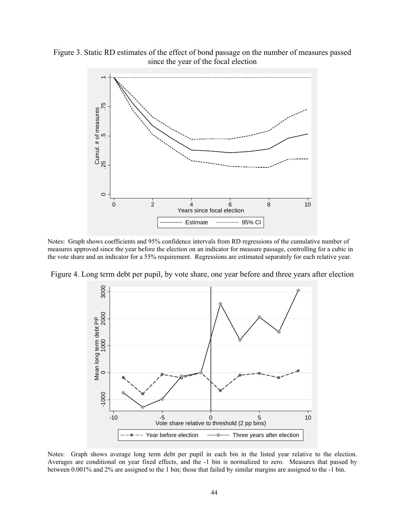

Figure 3. Static RD estimates of the effect of bond passage on the number of measures passed since the year of the focal election

Notes: Graph shows coefficients and 95% confidence intervals from RD regressions of the cumulative number of measures approved since the year before the election on an indicator for measure passage, controlling for a cubic in the vote share and an indicator for a 55% requirement. Regressions are estimated separately for each relative year.

Figure 4. Long term debt per pupil, by vote share, one year before and three years after election



Notes: Graph shows average long term debt per pupil in each bin in the listed year relative to the election. Averages are conditional on year fixed effects, and the -1 bin is normalized to zero. Measures that passed by between 0.001% and 2% are assigned to the 1 bin; those that failed by similar margins are assigned to the -1 bin.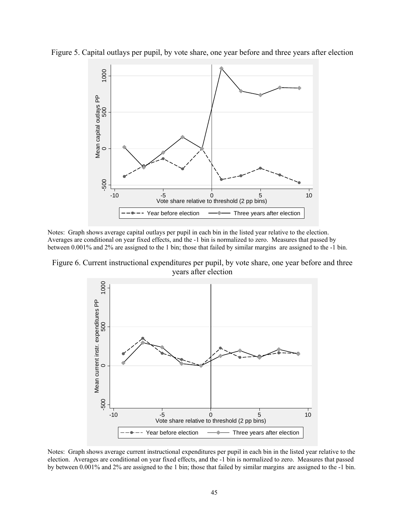

Figure 5. Capital outlays per pupil, by vote share, one year before and three years after election

Notes: Graph shows average capital outlays per pupil in each bin in the listed year relative to the election. Averages are conditional on year fixed effects, and the -1 bin is normalized to zero. Measures that passed by between 0.001% and 2% are assigned to the 1 bin; those that failed by similar margins are assigned to the -1 bin.

Figure 6. Current instructional expenditures per pupil, by vote share, one year before and three years after election



Notes: Graph shows average current instructional expenditures per pupil in each bin in the listed year relative to the election. Averages are conditional on year fixed effects, and the -1 bin is normalized to zero. Measures that passed by between 0.001% and 2% are assigned to the 1 bin; those that failed by similar margins are assigned to the -1 bin.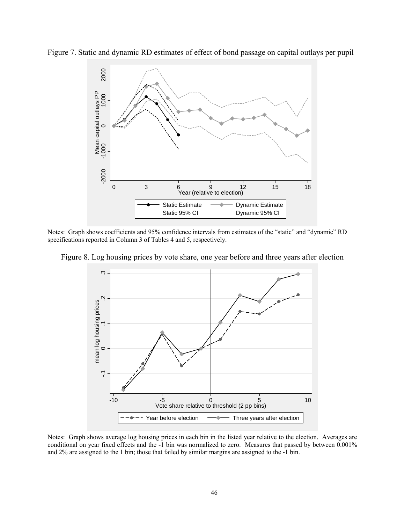Figure 7. Static and dynamic RD estimates of effect of bond passage on capital outlays per pupil



Notes: Graph shows coefficients and 95% confidence intervals from estimates of the "static" and "dynamic" RD specifications reported in Column 3 of Tables 4 and 5, respectively.



Figure 8. Log housing prices by vote share, one year before and three years after election

Notes: Graph shows average log housing prices in each bin in the listed year relative to the election. Averages are conditional on year fixed effects and the -1 bin was normalized to zero. Measures that passed by between 0.001% and 2% are assigned to the 1 bin; those that failed by similar margins are assigned to the -1 bin.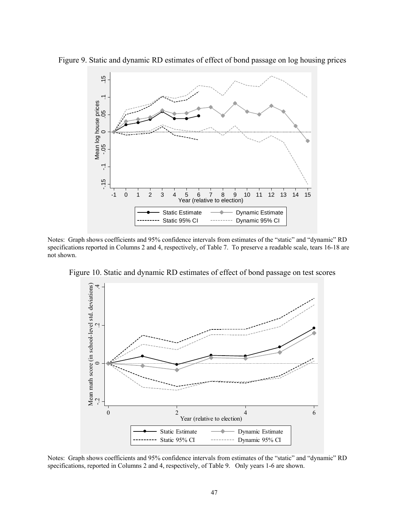

Figure 9. Static and dynamic RD estimates of effect of bond passage on log housing prices

Notes: Graph shows coefficients and 95% confidence intervals from estimates of the "static" and "dynamic" RD specifications reported in Columns 2 and 4, respectively, of Table 7. To preserve a readable scale, tears 16-18 are not shown.



Figure 10. Static and dynamic RD estimates of effect of bond passage on test scores

Notes: Graph shows coefficients and 95% confidence intervals from estimates of the "static" and "dynamic" RD specifications, reported in Columns 2 and 4, respectively, of Table 9. Only years 1-6 are shown.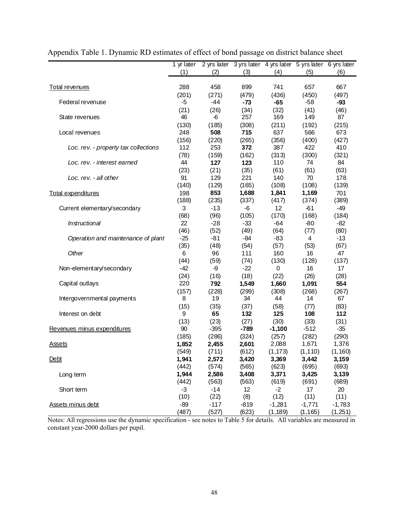|                                      | 1 yr later   |                |                 |                   | 2 yrs later 3 yrs later 4 yrs later 5 yrs later 6 yrs later |               |
|--------------------------------------|--------------|----------------|-----------------|-------------------|-------------------------------------------------------------|---------------|
|                                      | (1)          | (2)            | (3)             | (4)               | (5)                                                         | (6)           |
|                                      |              |                |                 |                   |                                                             |               |
| <b>Total revenues</b>                | 288          | 458            | 899             | 741               | 657                                                         | 667           |
|                                      | (201)        | (271)          | (479)           | (436)             | (450)                                                       | (497)         |
| Federal revenuse                     | $-5$         | $-44$          | $-73$           | $-65$             | $-58$                                                       | $-93$         |
|                                      | (21)         | (26)           | (34)            | (32)              | (41)                                                        | (46)          |
| State revenues                       | 46           | $-6$           | 257             | 169               | 149                                                         | 87            |
|                                      | (130)        | (185)          | (308)           | (211)<br>637      | (192)                                                       | (215)         |
| Local revenues                       | 248          | 508            | 715             |                   | 566                                                         | 673           |
| Loc. rev. - property tax collections | (156)<br>112 | (220)<br>253   | (265)<br>372    | (356)<br>387      | (400)<br>422                                                | (427)<br>410  |
|                                      | (78)         | (159)          | (162)           | (313)             | (300)                                                       | (321)         |
| Loc. rev. - interest earned          | 44           | 127            | 123             | 110               | 74                                                          | 84            |
|                                      | (23)         | (21)           | (35)            | (61)              | (61)                                                        | (63)          |
| Loc. rev. - all other                | 91           | 129            | 221             | 140               | 70                                                          | 178           |
|                                      | (140)        | (129)          | (165)           | (108)             | (108)                                                       | (139)         |
| Total expenditures                   | 198          | 853            | 1,688           | 1,841             | 1,169                                                       | 701           |
|                                      | (188)        | (235)          | (337)           | (417)             | (374)                                                       | (389)         |
| Current elementary/secondary         | 3            | $-13$          | -6              | 12                | $-61$                                                       | $-49$         |
|                                      | (68)         | (96)           | (105)           | (170)             | (168)                                                       | (184)         |
| Instructional                        | 22           | $-28$          | $-33$           | -64               | $-80$                                                       | $-82$         |
|                                      | (46)         | (52)           | (49)            | (64)              | (77)                                                        | (80)          |
| Operation and maintenance of plant   | $-25$        | $-81$          | $-84$           | $-83$             | 4                                                           | $-13$         |
|                                      | (35)         | (48)           | (54)            | (57)              | (53)                                                        | (67)          |
| Other                                | 6            | 96             | 111             | 160               | 16                                                          | 47            |
|                                      | (44)         | (59)           | (74)            | (130)             | (128)                                                       | (137)         |
| Non-elementary/secondary             | $-42$        | $-9$           | $-22$           | $\mathbf 0$       | 16                                                          | 17            |
|                                      | (24)         | (16)           | (18)            | (22)              | (26)                                                        | (28)          |
| Capital outlays                      | 220          | 792            | 1,549           | 1,660             | 1,091                                                       | 554           |
|                                      | (157)        | (228)          | (299)           | (308)             | (268)                                                       | (267)         |
| Intergovernmental payments           | 8            | 19             | 34              | 44                | 14                                                          | 67            |
|                                      | (15)         | (35)           | (37)            | (58)              | (77)                                                        | (83)          |
| Interest on debt                     | 9            | 65             | 132             | 125               | 108                                                         | 112           |
|                                      | (13)<br>90   | (23)<br>$-395$ | (27)            | (30)              | (33)<br>$-512$                                              | (31)<br>$-35$ |
| Revenues minus expenditures          | (185)        | (286)          | $-789$<br>(324) | $-1,100$<br>(257) | (282)                                                       | (290)         |
| <u>Assets</u>                        | 1,852        | 2,455          | 2,601           | 2,088             | 1,671                                                       | 1,376         |
|                                      | (549)        | (711)          | (612)           | (1, 173)          | (1, 110)                                                    | (1, 160)      |
| Debt                                 | 1,941        | 2,572          | 3,420           | 3,369             | 3,442                                                       | 3,159         |
|                                      | (442)        | (574)          | (565)           | (623)             | (695)                                                       | (693)         |
| Long term                            | 1,944        | 2,586          | 3,408           | 3,371             | 3,425                                                       | 3,139         |
|                                      | (442)        | (563)          | (563)           | (619)             | (691)                                                       | (689)         |
| Short term                           | $-3$         | $-14$          | 12              | $-2$              | 17                                                          | 20            |
|                                      | (10)         | (22)           | (8)             | (12)              | (11)                                                        | (11)          |
| Assets minus debt                    | $-89$        | $-117$         | $-819$          | $-1,281$          | $-1,771$                                                    | $-1,783$      |
|                                      | (487)        | (527)          | (623)           | (1, 189)          | (1, 165)                                                    | (1, 251)      |

|  |  | Appendix Table 1. Dynamic RD estimates of effect of bond passage on district balance sheet |
|--|--|--------------------------------------------------------------------------------------------|
|  |  |                                                                                            |

Notes: All regressions use the dynamic specification - see notes to Table 5 for details. All variables are measured in constant year-2000 dollars per pupil.